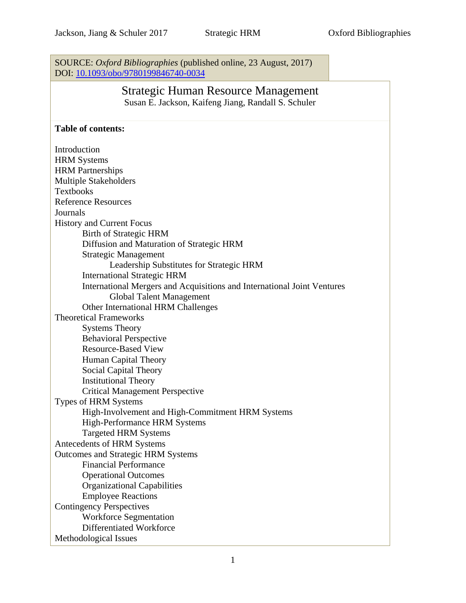SOURCE: *Oxford Bibliographies* (published online, 23 August, 2017) DOI: [10.1093/obo/9780199846740-0034](http://www.oxfordbibliographies.com/view/document/obo-9780199846740/obo-9780199846740-0034.xml)

# Strategic Human Resource Management Susan E. Jackson, Kaifeng Jiang, Randall S. Schuler

#### **Table of contents:**

Introduction HRM Systems HRM Partnerships Multiple Stakeholders Textbooks Reference Resources Journals History and Current Focus Birth of Strategic HRM Diffusion and Maturation of Strategic HRM Strategic Management Leadership Substitutes for Strategic HRM International Strategic HRM International Mergers and Acquisitions and International Joint Ventures Global Talent Management Other International HRM Challenges Theoretical Frameworks Systems Theory Behavioral Perspective Resource-Based View Human Capital Theory Social Capital Theory Institutional Theory Critical Management Perspective Types of HRM Systems High-Involvement and High-Commitment HRM Systems High-Performance HRM Systems Targeted HRM Systems Antecedents of HRM Systems Outcomes and Strategic HRM Systems Financial Performance Operational Outcomes Organizational Capabilities Employee Reactions Contingency Perspectives Workforce Segmentation Differentiated Workforce Methodological Issues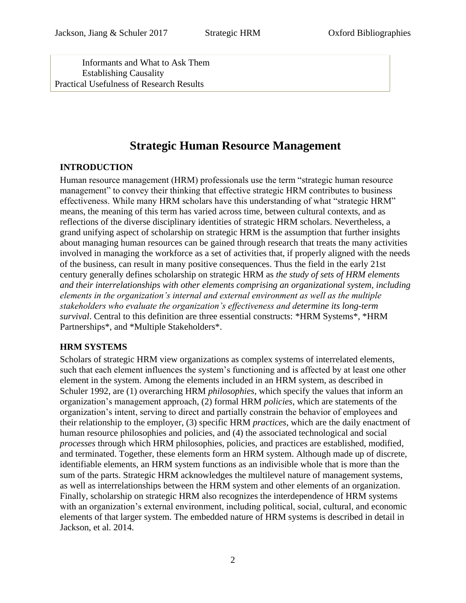Informants and What to Ask Them Establishing Causality Practical Usefulness of Research Results

# **Strategic Human Resource Management**

## **INTRODUCTION**

Human resource management (HRM) professionals use the term "strategic human resource management" to convey their thinking that effective strategic HRM contributes to business effectiveness. While many HRM scholars have this understanding of what "strategic HRM" means, the meaning of this term has varied across time, between cultural contexts, and as reflections of the diverse disciplinary identities of strategic HRM scholars. Nevertheless, a grand unifying aspect of scholarship on strategic HRM is the assumption that further insights about managing human resources can be gained through research that treats the many activities involved in managing the workforce as a set of activities that, if properly aligned with the needs of the business, can result in many positive consequences. Thus the field in the early 21st century generally defines scholarship on strategic HRM as *the study of sets of HRM elements and their interrelationships with other elements comprising an organizational system, including elements in the organization's internal and external environment as well as the multiple stakeholders who evaluate the organization's effectiveness and determine its long-term survival*. Central to this definition are three essential constructs: \*HRM Systems\*, \*HRM Partnerships\*, and \*Multiple Stakeholders\*.

## **HRM SYSTEMS**

Scholars of strategic HRM view organizations as complex systems of interrelated elements, such that each element influences the system's functioning and is affected by at least one other element in the system. Among the elements included in an HRM system, as described in Schuler [1992,](file:///C:/Users/fresea/AppData/Local/Microsoft/Windows/Temporary%20Internet%20Files/Content.Outlook/B5HZK4M5/Strategic%23Ref1) are (1) overarching HRM *philosophies*, which specify the values that inform an organization's management approach, (2) formal HRM *policies*, which are statements of the organization's intent, serving to direct and partially constrain the behavior of employees and their relationship to the employer, (3) specific HRM *practices*, which are the daily enactment of human resource philosophies and policies, and (4) the associated technological and social *processes* through which HRM philosophies, policies, and practices are established, modified, and terminated. Together, these elements form an HRM system. Although made up of discrete, identifiable elements, an HRM system functions as an indivisible whole that is more than the sum of the parts. Strategic HRM acknowledges the multilevel nature of management systems, as well as interrelationships between the HRM system and other elements of an organization. Finally, scholarship on strategic HRM also recognizes the interdependence of HRM systems with an organization's external environment, including political, social, cultural, and economic elements of that larger system. The embedded nature of HRM systems is described in detail in Jackson, et al. [2014.](file:///C:/Users/fresea/AppData/Local/Microsoft/Windows/Temporary%20Internet%20Files/Content.Outlook/B5HZK4M5/An%23Ref0)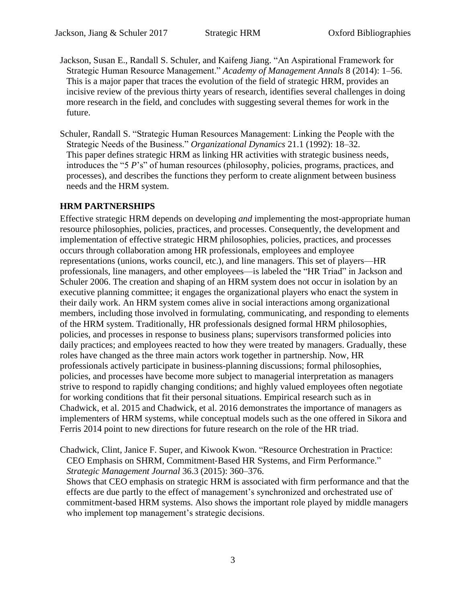- Jackson, Susan E., Randall S. Schuler, and Kaifeng Jiang. "An Aspirational Framework for Strategic Human Resource Management." *Academy of Management Annals* 8 (2014): 1–56. This is a major paper that traces the evolution of the field of strategic HRM, provides an incisive review of the previous thirty years of research, identifies several challenges in doing more research in the field, and concludes with suggesting several themes for work in the future.
- Schuler, Randall S. "Strategic Human Resources Management: Linking the People with the Strategic Needs of the Business." *Organizational Dynamics* 21.1 (1992): 18–32. This paper defines strategic HRM as linking HR activities with strategic business needs, introduces the "5 *P*'s" of human resources (philosophy, policies, programs, practices, and processes), and describes the functions they perform to create alignment between business needs and the HRM system.

## **HRM PARTNERSHIPS**

Effective strategic HRM depends on developing *and* implementing the most-appropriate human resource philosophies, policies, practices, and processes. Consequently, the development and implementation of effective strategic HRM philosophies, policies, practices, and processes occurs through collaboration among HR professionals, employees and employee representations (unions, works council, etc.), and line managers. This set of players—HR professionals, line managers, and other employees—is labeled the "HR Triad" in Jackson and Schuler [2006.](#page-3-0) The creation and shaping of an HRM system does not occur in isolation by an executive planning committee; it engages the organizational players who enact the system in their daily work. An HRM system comes alive in social interactions among organizational members, including those involved in formulating, communicating, and responding to elements of the HRM system. Traditionally, HR professionals designed formal HRM philosophies, policies, and processes in response to business plans; supervisors transformed policies into daily practices; and employees reacted to how they were treated by managers. Gradually, these roles have changed as the three main actors work together in partnership. Now, HR professionals actively participate in business-planning discussions; formal philosophies, policies, and processes have become more subject to managerial interpretation as managers strive to respond to rapidly changing conditions; and highly valued employees often negotiate for working conditions that fit their personal situations. Empirical research such as in Chadwick, et al. [2015](#page-2-0) and Chadwick, et al. [2016](#page-3-1) demonstrates the importance of managers as implementers of HRM systems, while conceptual models such as the one offered in Sikora and Ferris 2014 point to new directions for future research on the role of the HR triad.

<span id="page-2-0"></span>Chadwick, Clint, Janice F. Super, and Kiwook Kwon. "Resource Orchestration in Practice: CEO Emphasis on SHRM, Commitment‐Based HR Systems, and Firm Performance." *Strategic Management Journal* 36.3 (2015): 360–376.

Shows that CEO emphasis on strategic HRM is associated with firm performance and that the effects are due partly to the effect of management's synchronized and orchestrated use of commitment-based HRM systems. Also shows the important role played by middle managers who implement top management's strategic decisions.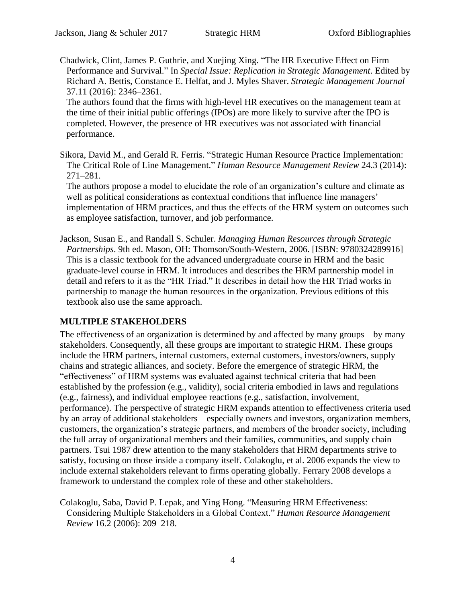<span id="page-3-1"></span>Chadwick, Clint, James P. Guthrie, and Xuejing Xing. "The HR Executive Effect on Firm Performance and Survival." In *Special Issue: Replication in Strategic Management*. Edited by Richard A. Bettis, Constance E. Helfat, and J. Myles Shaver. *Strategic Management Journal* 37.11 (2016): 2346–2361.

The authors found that the firms with high-level HR executives on the management team at the time of their initial public offerings (IPOs) are more likely to survive after the IPO is completed. However, the presence of HR executives was not associated with financial performance.

Sikora, David M., and Gerald R. Ferris. "Strategic Human Resource Practice Implementation: The Critical Role of Line Management." *Human Resource Management Review* 24.3 (2014): 271–281.

The authors propose a model to elucidate the role of an organization's culture and climate as well as political considerations as contextual conditions that influence line managers' implementation of HRM practices, and thus the effects of the HRM system on outcomes such as employee satisfaction, turnover, and job performance.

<span id="page-3-0"></span>Jackson, Susan E., and Randall S. Schuler. *Managing Human Resources through Strategic Partnerships*. 9th ed. Mason, OH: Thomson/South-Western, 2006. [ISBN: 9780324289916] This is a classic textbook for the advanced undergraduate course in HRM and the basic graduate-level course in HRM. It introduces and describes the HRM partnership model in detail and refers to it as the "HR Triad." It describes in detail how the HR Triad works in partnership to manage the human resources in the organization. Previous editions of this textbook also use the same approach.

## **MULTIPLE STAKEHOLDERS**

The effectiveness of an organization is determined by and affected by many groups—by many stakeholders. Consequently, all these groups are important to strategic HRM. These groups include the HRM partners, internal customers, external customers, investors/owners, supply chains and strategic alliances, and society. Before the emergence of strategic HRM, the "effectiveness" of HRM systems was evaluated against technical criteria that had been established by the profession (e.g., validity), social criteria embodied in laws and regulations (e.g., fairness), and individual employee reactions (e.g., satisfaction, involvement, performance). The perspective of strategic HRM expands attention to effectiveness criteria used by an array of additional stakeholders—especially owners and investors, organization members, customers, the organization's strategic partners, and members of the broader society, including the full array of organizational members and their families, communities, and supply chain partners. Tsui [1987](file:///C:/Users/fresea/AppData/Local/Microsoft/Windows/Temporary%20Internet%20Files/Content.Outlook/B5HZK4M5/Defining%23Ref8) drew attention to the many stakeholders that HRM departments strive to satisfy, focusing on those inside a company itself. Colakoglu, et al. [2006](file:///C:/Users/fresea/AppData/Local/Microsoft/Windows/Temporary%20Internet%20Files/Content.Outlook/B5HZK4M5/Measuring%23Ref6) expands the view to include external stakeholders relevant to firms operating globally. Ferrary [2008](file:///C:/Users/fresea/AppData/Local/Microsoft/Windows/Temporary%20Internet%20Files/Content.Outlook/B5HZK4M5/A%23Ref7) develops a framework to understand the complex role of these and other stakeholders.

Colakoglu, Saba, David P. Lepak, and Ying Hong. "Measuring HRM Effectiveness: Considering Multiple Stakeholders in a Global Context." *Human Resource Management Review* 16.2 (2006): 209–218.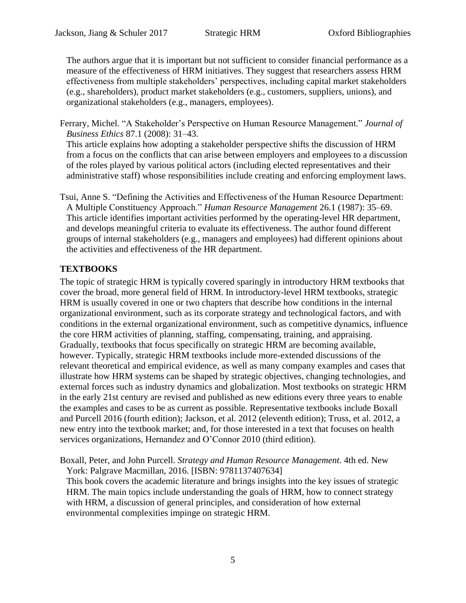The authors argue that it is important but not sufficient to consider financial performance as a measure of the effectiveness of HRM initiatives. They suggest that researchers assess HRM effectiveness from multiple stakeholders' perspectives, including capital market stakeholders (e.g., shareholders), product market stakeholders (e.g., customers, suppliers, unions), and organizational stakeholders (e.g., managers, employees).

Ferrary, Michel. "A Stakeholder's Perspective on Human Resource Management." *Journal of Business Ethics* 87.1 (2008): 31–43.

This article explains how adopting a stakeholder perspective shifts the discussion of HRM from a focus on the conflicts that can arise between employers and employees to a discussion of the roles played by various political actors (including elected representatives and their administrative staff) whose responsibilities include creating and enforcing employment laws.

Tsui, Anne S. "Defining the Activities and Effectiveness of the Human Resource Department: A Multiple Constituency Approach." *Human Resource Management* 26.1 (1987): 35–69. This article identifies important activities performed by the operating-level HR department, and develops meaningful criteria to evaluate its effectiveness. The author found different groups of internal stakeholders (e.g., managers and employees) had different opinions about the activities and effectiveness of the HR department.

# **TEXTBOOKS**

The topic of strategic HRM is typically covered sparingly in introductory HRM textbooks that cover the broad, more general field of HRM. In introductory-level HRM textbooks, strategic HRM is usually covered in one or two chapters that describe how conditions in the internal organizational environment, such as its corporate strategy and technological factors, and with conditions in the external organizational environment, such as competitive dynamics, influence the core HRM activities of planning, staffing, compensating, training, and appraising. Gradually, textbooks that focus specifically on strategic HRM are becoming available, however. Typically, strategic HRM textbooks include more-extended discussions of the relevant theoretical and empirical evidence, as well as many company examples and cases that illustrate how HRM systems can be shaped by strategic objectives, changing technologies, and external forces such as industry dynamics and globalization. Most textbooks on strategic HRM in the early 21st century are revised and published as new editions every three years to enable the examples and cases to be as current as possible. Representative textbooks include Boxall and Purcell [2016](#page-4-0) (fourth edition); Jackson, et al. [2012](#page-5-0) (eleventh edition); Truss, et al. [2012,](#page-5-1) a new entry into the textbook market; and, for those interested in a text that focuses on health services organizations, Hernandez and O'Connor [2010](#page-5-2) (third edition).

<span id="page-4-0"></span>Boxall, Peter, and John Purcell. *Strategy and Human Resource Management*. 4th ed. New York: Palgrave Macmillan, 2016. [ISBN: 9781137407634]

This book covers the academic literature and brings insights into the key issues of strategic HRM. The main topics include understanding the goals of HRM, how to connect strategy with HRM, a discussion of general principles, and consideration of how external environmental complexities impinge on strategic HRM.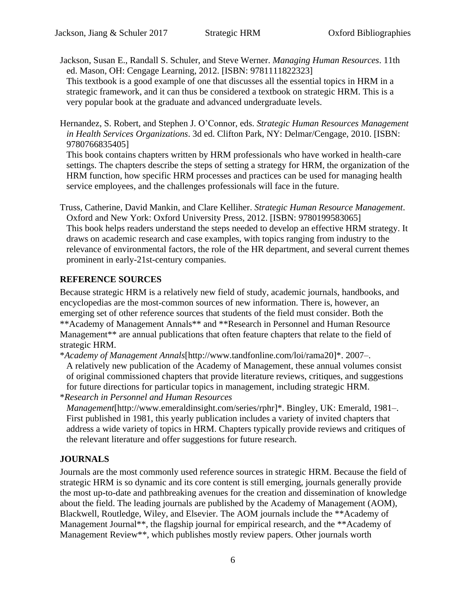<span id="page-5-0"></span>Jackson, Susan E., Randall S. Schuler, and Steve Werner. *Managing Human Resources*. 11th ed. Mason, OH: Cengage Learning, 2012. [ISBN: 9781111822323]

This textbook is a good example of one that discusses all the essential topics in HRM in a strategic framework, and it can thus be considered a textbook on strategic HRM. This is a very popular book at the graduate and advanced undergraduate levels.

<span id="page-5-2"></span>Hernandez, S. Robert, and Stephen J. O'Connor, eds. *Strategic Human Resources Management in Health Services Organizations*. 3d ed. Clifton Park, NY: Delmar/Cengage, 2010. [ISBN: 9780766835405]

This book contains chapters written by HRM professionals who have worked in health-care settings. The chapters describe the steps of setting a strategy for HRM, the organization of the HRM function, how specific HRM processes and practices can be used for managing health service employees, and the challenges professionals will face in the future.

<span id="page-5-1"></span>Truss, Catherine, David Mankin, and Clare Kelliher. *Strategic Human Resource Management*. Oxford and New York: Oxford University Press, 2012. [ISBN: 9780199583065] This book helps readers understand the steps needed to develop an effective HRM strategy. It draws on academic research and case examples, with topics ranging from industry to the relevance of environmental factors, the role of the HR department, and several current themes prominent in early-21st-century companies.

# **REFERENCE SOURCES**

Because strategic HRM is a relatively new field of study, academic journals, handbooks, and encyclopedias are the most-common sources of new information. There is, however, an emerging set of other reference sources that students of the field must consider. Both the \*[\\*Academy of Management Annals\\*](#page-5-3)\* and \*\*Research in Personnel and Human Resource [Management\\*](#page-5-4)\* are annual publications that often feature chapters that relate to the field of strategic HRM.

<span id="page-5-3"></span>\**Academy of Management Annals*[http://www.tandfonline.com/loi/rama20]\*. 2007–. A relatively new publication of the Academy of Management, these annual volumes consist of original commissioned chapters that provide literature reviews, critiques, and suggestions for future directions for particular topics in management, including strategic HRM. \**Research in Personnel and Human Resources* 

<span id="page-5-4"></span>*Management*[http://www.emeraldinsight.com/series/rphr]\*. Bingley, UK: Emerald, 1981–. First published in 1981, this yearly publication includes a variety of invited chapters that address a wide variety of topics in HRM. Chapters typically provide reviews and critiques of the relevant literature and offer suggestions for future research.

# **JOURNALS**

Journals are the most commonly used reference sources in strategic HRM. Because the field of strategic HRM is so dynamic and its core content is still emerging, journals generally provide the most up-to-date and pathbreaking avenues for the creation and dissemination of knowledge about the field. The leading journals are published by the Academy of Management (AOM), Blackwell, Routledge, Wiley, and Elsevier. The AOM journals include the \*[\\*Academy of](#page-6-0)  Management Journal<sup>\*\*</sup>, the flagship journal for empirical research, and the \*\*Academy of [Management Review\\*](#page-6-1)\*, which publishes mostly review papers. Other journals worth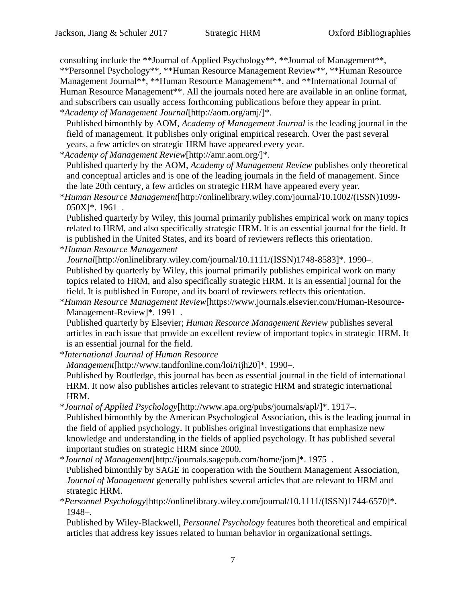consulting include the \*[\\*Journal of Applied Psychology\\*](#page-6-2)\*, \*[\\*Journal of Management\\*](#page-6-3)\*, \*[\\*Personnel Psychology\\*](#page-6-4)\*, \*[\\*Human Resource Management Review\\*](#page-6-5)\*, \*[\\*Human Resource](#page-6-6)  [Management Journal\\*](#page-6-6)\*, \*[\\*Human Resource Management\\*](#page-6-7)\*, and \*[\\*International Journal of](#page-6-8)  [Human Resource Management\\*](#page-6-8)\*. All the journals noted here are available in an online format, and subscribers can usually access forthcoming publications before they appear in print. \**Academy of Management Journal*[http://aom.org/amj/]\*.

- <span id="page-6-0"></span>Published bimonthly by AOM, *Academy of Management Journal* is the leading journal in the field of management. It publishes only original empirical research. Over the past several years, a few articles on strategic HRM have appeared every year.
- <span id="page-6-1"></span>\**Academy of Management Review*[http://amr.aom.org/]\*.

Published quarterly by the AOM, *Academy of Management Review* publishes only theoretical and conceptual articles and is one of the leading journals in the field of management. Since the late 20th century, a few articles on strategic HRM have appeared every year.

<span id="page-6-7"></span>\**Human Resource Management*[http://onlinelibrary.wiley.com/journal/10.1002/(ISSN)1099- 050X]\*. 1961–.

Published quarterly by Wiley, this journal primarily publishes empirical work on many topics related to HRM, and also specifically strategic HRM. It is an essential journal for the field. It is published in the United States, and its board of reviewers reflects this orientation.

<span id="page-6-6"></span>\**Human Resource Management* 

*Journal*[http://onlinelibrary.wiley.com/journal/10.1111/(ISSN)1748-8583]\*. 1990–. Published by quarterly by Wiley, this journal primarily publishes empirical work on many topics related to HRM, and also specifically strategic HRM. It is an essential journal for the field. It is published in Europe, and its board of reviewers reflects this orientation.

<span id="page-6-5"></span>\**Human Resource Management Review*[https://www.journals.elsevier.com/Human-Resource-Management-Review]\*. 1991–.

Published quarterly by Elsevier; *Human Resource Management Review* publishes several articles in each issue that provide an excellent review of important topics in strategic HRM. It is an essential journal for the field.

<span id="page-6-8"></span>\**International Journal of Human Resource* 

*Management*[http://www.tandfonline.com/loi/rijh20]\*. 1990–.

Published by Routledge, this journal has been as essential journal in the field of international HRM. It now also publishes articles relevant to strategic HRM and strategic international HRM.

<span id="page-6-2"></span>\**Journal of Applied Psychology*[http://www.apa.org/pubs/journals/apl/]\*. 1917–.

Published bimonthly by the American Psychological Association, this is the leading journal in the field of applied psychology. It publishes original investigations that emphasize new knowledge and understanding in the fields of applied psychology. It has published several important studies on strategic HRM since 2000.

<span id="page-6-3"></span>\**Journal of Management*[http://journals.sagepub.com/home/jom]\*. 1975–. Published bimonthly by SAGE in cooperation with the Southern Management Association, *Journal of Management* generally publishes several articles that are relevant to HRM and strategic HRM.

<span id="page-6-4"></span>\**Personnel Psychology*[http://onlinelibrary.wiley.com/journal/10.1111/(ISSN)1744-6570]\*. 1948–.

Published by Wiley-Blackwell, *Personnel Psychology* features both theoretical and empirical articles that address key issues related to human behavior in organizational settings.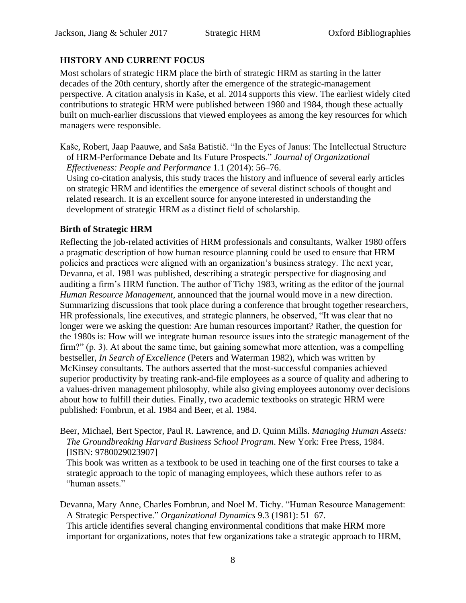# **HISTORY AND CURRENT FOCUS**

Most scholars of strategic HRM place the birth of strategic HRM as starting in the latter decades of the 20th century, shortly after the emergence of the strategic-management perspective. A citation analysis in Kaše, et al. [2014](file:///C:/Users/fresea/AppData/Local/Microsoft/Windows/Temporary%20Internet%20Files/Content.Outlook/B5HZK4M5/In%23Ref24) supports this view. The earliest widely cited contributions to strategic HRM were published between 1980 and 1984, though these actually built on much-earlier discussions that viewed employees as among the key resources for which managers were responsible.

Kaše, Robert, Jaap Paauwe, and Saša Batistič. "In the Eyes of Janus: The Intellectual Structure of HRM-Performance Debate and Its Future Prospects." *Journal of Organizational Effectiveness: People and Performance* 1.1 (2014): 56–76.

Using co-citation analysis, this study traces the history and influence of several early articles on strategic HRM and identifies the emergence of several distinct schools of thought and related research. It is an excellent source for anyone interested in understanding the development of strategic HRM as a distinct field of scholarship.

## **Birth of Strategic HRM**

Reflecting the job-related activities of HRM professionals and consultants, Walker [1980](#page-8-0) offers a pragmatic description of how human resource planning could be used to ensure that HRM policies and practices were aligned with an organization's business strategy. The next year, Devanna, et al. [1981](file:///C:/Users/fresea/AppData/Local/Microsoft/Windows/Temporary%20Internet%20Files/Content.Outlook/B5HZK4M5/Human%23Ref26) was published, describing a strategic perspective for diagnosing and auditing a firm's HRM function. The author of Tichy [1983,](file:///C:/Users/fresea/AppData/Local/Microsoft/Windows/Temporary%20Internet%20Files/Content.Outlook/B5HZK4M5/Foreword%23Ref29) writing as the editor of the journal *Human Resource Management*, announced that the journal would move in a new direction. Summarizing discussions that took place during a conference that brought together researchers, HR professionals, line executives, and strategic planners, he observed, "It was clear that no longer were we asking the question: Are human resources important? Rather, the question for the 1980s is: How will we integrate human resource issues into the strategic management of the firm?" (p. 3). At about the same time, but gaining somewhat more attention, was a compelling bestseller, *In Search of Excellence* (Peters and Waterman [1982\)](#page-8-1), which was written by McKinsey consultants. The authors asserted that the most-successful companies achieved superior productivity by treating rank-and-file employees as a source of quality and adhering to a values-driven management philosophy, while also giving employees autonomy over decisions about how to fulfill their duties. Finally, two academic textbooks on strategic HRM were published: Fombrun, et al. [1984](#page-8-2) and Beer, et al. [1984.](#page-7-0)

<span id="page-7-0"></span>Beer, Michael, Bert Spector, Paul R. Lawrence, and D. Quinn Mills. *Managing Human Assets: The Groundbreaking Harvard Business School Program*. New York: Free Press, 1984. [ISBN: 9780029023907]

This book was written as a textbook to be used in teaching one of the first courses to take a strategic approach to the topic of managing employees, which these authors refer to as "human assets."

Devanna, Mary Anne, Charles Fombrun, and Noel M. Tichy. "Human Resource Management: A Strategic Perspective." *Organizational Dynamics* 9.3 (1981): 51–67. This article identifies several changing environmental conditions that make HRM more important for organizations, notes that few organizations take a strategic approach to HRM,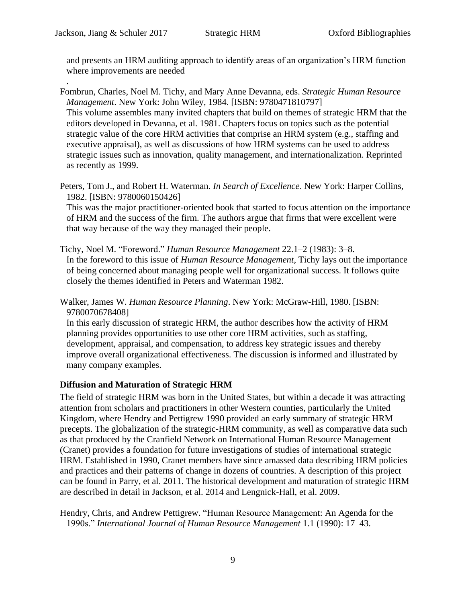.

and presents an HRM auditing approach to identify areas of an organization's HRM function where improvements are needed

<span id="page-8-2"></span>Fombrun, Charles, Noel M. Tichy, and Mary Anne Devanna, eds. *Strategic Human Resource Management*. New York: John Wiley, 1984. [ISBN: 9780471810797] This volume assembles many invited chapters that build on themes of strategic HRM that the editors developed in Devanna, et al. [1981.](file:///C:/Users/fresea/AppData/Local/Microsoft/Windows/Temporary%20Internet%20Files/Content.Outlook/B5HZK4M5/Human%23Ref26) Chapters focus on topics such as the potential strategic value of the core HRM activities that comprise an HRM system (e.g., staffing and executive appraisal), as well as discussions of how HRM systems can be used to address strategic issues such as innovation, quality management, and internationalization. Reprinted as recently as 1999.

<span id="page-8-1"></span>Peters, Tom J., and Robert H. Waterman. *In Search of Excellence*. New York: Harper Collins, 1982. [ISBN: 9780060150426]

This was the major practitioner-oriented book that started to focus attention on the importance of HRM and the success of the firm. The authors argue that firms that were excellent were that way because of the way they managed their people.

Tichy, Noel M. "Foreword." *Human Resource Management* 22.1–2 (1983): 3–8. In the foreword to this issue of *Human Resource Management*, Tichy lays out the importance of being concerned about managing people well for organizational success. It follows quite closely the themes identified in Peters and Waterman [1982.](#page-8-1)

<span id="page-8-0"></span>Walker, James W. *Human Resource Planning*. New York: McGraw-Hill, 1980. [ISBN: 9780070678408]

In this early discussion of strategic HRM, the author describes how the activity of HRM planning provides opportunities to use other core HRM activities, such as staffing, development, appraisal, and compensation, to address key strategic issues and thereby improve overall organizational effectiveness. The discussion is informed and illustrated by many company examples.

## **Diffusion and Maturation of Strategic HRM**

The field of strategic HRM was born in the United States, but within a decade it was attracting attention from scholars and practitioners in other Western counties, particularly the United Kingdom, where Hendry and Pettigrew [1990](file:///C:/Users/fresea/AppData/Local/Microsoft/Windows/Temporary%20Internet%20Files/Content.Outlook/B5HZK4M5/Human%23Ref31) provided an early summary of strategic HRM precepts. The globalization of the strategic-HRM community, as well as comparative data such as that produced by the Cranfield Network on International Human Resource Management (Cranet) provides a foundation for future investigations of studies of international strategic HRM. Established in 1990, Cranet members have since amassed data describing HRM policies and practices and their patterns of change in dozens of countries. A description of this project can be found in Parry, et al. [2011.](file:///C:/Users/fresea/AppData/Local/Microsoft/Windows/Temporary%20Internet%20Files/Content.Outlook/B5HZK4M5/The%23Ref34) The historical development and maturation of strategic HRM are described in detail in Jackson, et al. [2014](file:///C:/Users/fresea/AppData/Local/Microsoft/Windows/Temporary%20Internet%20Files/Content.Outlook/B5HZK4M5/An%23Ref32) and Lengnick-Hall, et al. [2009.](file:///C:/Users/fresea/AppData/Local/Microsoft/Windows/Temporary%20Internet%20Files/Content.Outlook/B5HZK4M5/Strategic%23Ref33)

Hendry, Chris, and Andrew Pettigrew. "Human Resource Management: An Agenda for the 1990s." *International Journal of Human Resource Management* 1.1 (1990): 17–43.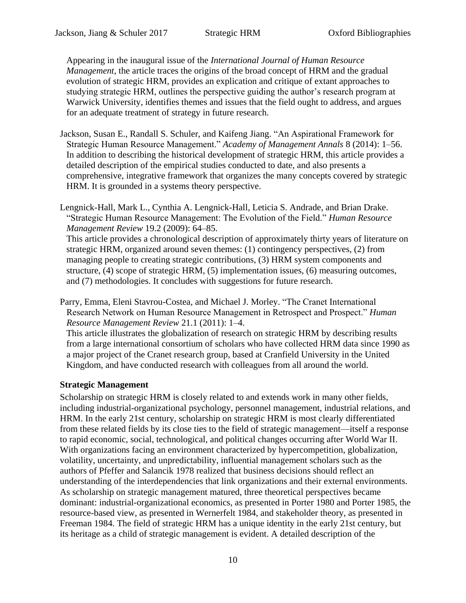Appearing in the inaugural issue of the *International Journal of Human Resource Management*, the article traces the origins of the broad concept of HRM and the gradual evolution of strategic HRM, provides an explication and critique of extant approaches to studying strategic HRM, outlines the perspective guiding the author's research program at Warwick University, identifies themes and issues that the field ought to address, and argues for an adequate treatment of strategy in future research.

- Jackson, Susan E., Randall S. Schuler, and Kaifeng Jiang. "An Aspirational Framework for Strategic Human Resource Management." *Academy of Management Annals* 8 (2014): 1–56. In addition to describing the historical development of strategic HRM, this article provides a detailed description of the empirical studies conducted to date, and also presents a comprehensive, integrative framework that organizes the many concepts covered by strategic HRM. It is grounded in a systems theory perspective.
- Lengnick-Hall, Mark L., Cynthia A. Lengnick-Hall, Leticia S. Andrade, and Brian Drake. "Strategic Human Resource Management: The Evolution of the Field." *Human Resource Management Review* 19.2 (2009): 64–85.

This article provides a chronological description of approximately thirty years of literature on strategic HRM, organized around seven themes: (1) contingency perspectives, (2) from managing people to creating strategic contributions, (3) HRM system components and structure, (4) scope of strategic HRM, (5) implementation issues, (6) measuring outcomes, and (7) methodologies. It concludes with suggestions for future research.

Parry, Emma, Eleni Stavrou-Costea, and Michael J. Morley. "The Cranet International Research Network on Human Resource Management in Retrospect and Prospect." *Human Resource Management Review* 21.1 (2011): 1–4.

This article illustrates the globalization of research on strategic HRM by describing results from a large international consortium of scholars who have collected HRM data since 1990 as a major project of the Cranet research group, based at Cranfield University in the United Kingdom, and have conducted research with colleagues from all around the world.

## **Strategic Management**

Scholarship on strategic HRM is closely related to and extends work in many other fields, including industrial-organizational psychology, personnel management, industrial relations, and HRM. In the early 21st century, scholarship on strategic HRM is most clearly differentiated from these related fields by its close ties to the field of strategic management—itself a response to rapid economic, social, technological, and political changes occurring after World War II. With organizations facing an environment characterized by hypercompetition, globalization, volatility, uncertainty, and unpredictability, influential management scholars such as the authors of Pfeffer and Salancik [1978](#page-10-0) realized that business decisions should reflect an understanding of the interdependencies that link organizations and their external environments. As scholarship on strategic management matured, three theoretical perspectives became dominant: industrial-organizational economics, as presented in Porter [1980](#page-10-1) and Porter [1985,](#page-10-2) the resource-based view, as presented in Wernerfelt [1984,](file:///C:/Users/fresea/AppData/Local/Microsoft/Windows/Temporary%20Internet%20Files/Content.Outlook/B5HZK4M5/A%23Ref39) and stakeholder theory, as presented in Freeman [1984.](#page-10-3) The field of strategic HRM has a unique identity in the early 21st century, but its heritage as a child of strategic management is evident. A detailed description of the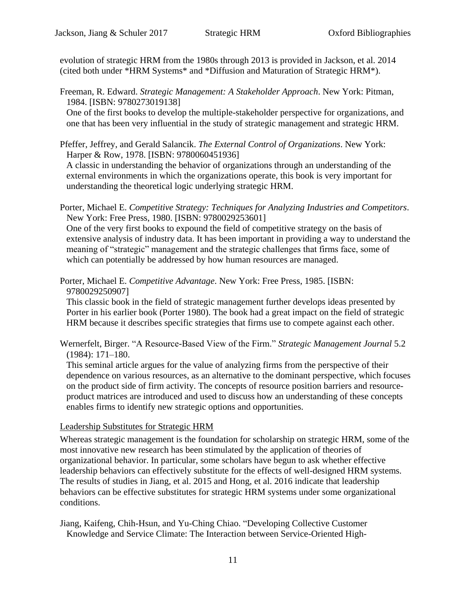evolution of strategic HRM from the 1980s through 2013 is provided in Jackson, et al. 2014 (cited both under \*HRM Systems\* and \*Diffusion and Maturation of Strategic HRM\*).

<span id="page-10-3"></span>Freeman, R. Edward. *Strategic Management: A Stakeholder Approach*. New York: Pitman, 1984. [ISBN: 9780273019138]

One of the first books to develop the multiple-stakeholder perspective for organizations, and one that has been very influential in the study of strategic management and strategic HRM.

<span id="page-10-0"></span>Pfeffer, Jeffrey, and Gerald Salancik. *The External Control of Organizations*. New York: Harper & Row, 1978. [ISBN: 9780060451936]

A classic in understanding the behavior of organizations through an understanding of the external environments in which the organizations operate, this book is very important for understanding the theoretical logic underlying strategic HRM.

<span id="page-10-1"></span>Porter, Michael E. *Competitive Strategy: Techniques for Analyzing Industries and Competitors*. New York: Free Press, 1980. [ISBN: 9780029253601]

One of the very first books to expound the field of competitive strategy on the basis of extensive analysis of industry data. It has been important in providing a way to understand the meaning of "strategic" management and the strategic challenges that firms face, some of which can potentially be addressed by how human resources are managed.

<span id="page-10-2"></span>Porter, Michael E. *Competitive Advantage*. New York: Free Press, 1985. [ISBN: 9780029250907]

This classic book in the field of strategic management further develops ideas presented by Porter in his earlier book (Porter [1980\)](#page-10-1). The book had a great impact on the field of strategic HRM because it describes specific strategies that firms use to compete against each other.

Wernerfelt, Birger. "A Resource-Based View of the Firm." *Strategic Management Journal* 5.2 (1984): 171–180.

This seminal article argues for the value of analyzing firms from the perspective of their dependence on various resources, as an alternative to the dominant perspective, which focuses on the product side of firm activity. The concepts of resource position barriers and resourceproduct matrices are introduced and used to discuss how an understanding of these concepts enables firms to identify new strategic options and opportunities.

#### Leadership Substitutes for Strategic HRM

Whereas strategic management is the foundation for scholarship on strategic HRM, some of the most innovative new research has been stimulated by the application of theories of organizational behavior. In particular, some scholars have begun to ask whether effective leadership behaviors can effectively substitute for the effects of well-designed HRM systems. The results of studies in Jiang, et al. [2015](#page-10-4) and Hong, et al. [2016](#page-11-0) indicate that leadership behaviors can be effective substitutes for strategic HRM systems under some organizational conditions.

<span id="page-10-4"></span>Jiang, Kaifeng, Chih-Hsun, and Yu-Ching Chiao. "Developing Collective Customer Knowledge and Service Climate: The Interaction between Service-Oriented High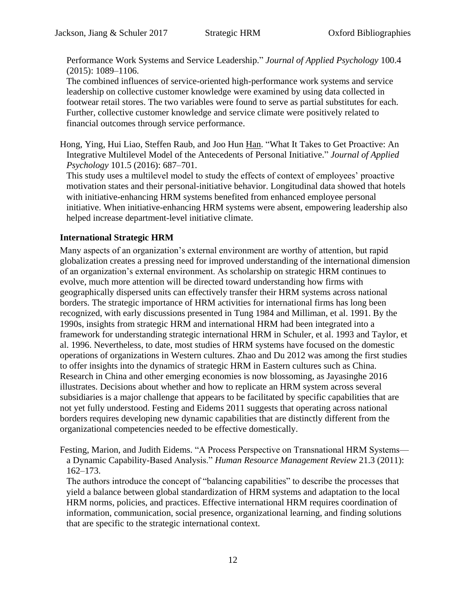Performance Work Systems and Service Leadership." *Journal of Applied Psychology* 100.4 (2015): 1089–1106.

The combined influences of service-oriented high-performance work systems and service leadership on collective customer knowledge were examined by using data collected in footwear retail stores. The two variables were found to serve as partial substitutes for each. Further, collective customer knowledge and service climate were positively related to financial outcomes through service performance.

<span id="page-11-0"></span>Hong, Ying, Hui Liao, Steffen Raub, and Joo Hun Han. "What It Takes to Get Proactive: An Integrative Multilevel Model of the Antecedents of Personal Initiative." *Journal of Applied Psychology* 101.5 (2016): 687–701.

This study uses a multilevel model to study the effects of context of employees' proactive motivation states and their personal-initiative behavior. Longitudinal data showed that hotels with initiative-enhancing HRM systems benefited from enhanced employee personal initiative. When initiative-enhancing HRM systems were absent, empowering leadership also helped increase department-level initiative climate.

## **International Strategic HRM**

Many aspects of an organization's external environment are worthy of attention, but rapid globalization creates a pressing need for improved understanding of the international dimension of an organization's external environment. As scholarship on strategic HRM continues to evolve, much more attention will be directed toward understanding how firms with geographically dispersed units can effectively transfer their HRM systems across national borders. The strategic importance of HRM activities for international firms has long been recognized, with early discussions presented in Tung [1984](file:///C:/Users/fresea/AppData/Local/Microsoft/Windows/Temporary%20Internet%20Files/Content.Outlook/B5HZK4M5/Strategic%23Ref47) and Milliman, et al. [1991.](file:///C:/Users/fresea/AppData/Local/Microsoft/Windows/Temporary%20Internet%20Files/Content.Outlook/B5HZK4M5/Organizational%23Ref44) By the 1990s, insights from strategic HRM and international HRM had been integrated into a framework for understanding strategic international HRM in Schuler, et al. [1993](file:///C:/Users/fresea/AppData/Local/Microsoft/Windows/Temporary%20Internet%20Files/Content.Outlook/B5HZK4M5/An%23Ref45) and Taylor, et al. [1996.](file:///C:/Users/fresea/AppData/Local/Microsoft/Windows/Temporary%20Internet%20Files/Content.Outlook/B5HZK4M5/Toward%23Ref46) Nevertheless, to date, most studies of HRM systems have focused on the domestic operations of organizations in Western cultures. Zhao and Du [2012](file:///C:/Users/fresea/AppData/Local/Microsoft/Windows/Temporary%20Internet%20Files/Content.Outlook/B5HZK4M5/Thirty-Two%23Ref48) was among the first studies to offer insights into the dynamics of strategic HRM in Eastern cultures such as China. Research in China and other emerging economies is now blossoming, as Jayasinghe [2016](#page-12-0) illustrates. Decisions about whether and how to replicate an HRM system across several subsidiaries is a major challenge that appears to be facilitated by specific capabilities that are not yet fully understood. Festing and Eidems [2011](file:///C:/Users/fresea/AppData/Local/Microsoft/Windows/Temporary%20Internet%20Files/Content.Outlook/B5HZK4M5/A%23Ref42) suggests that operating across national borders requires developing new dynamic capabilities that are distinctly different from the organizational competencies needed to be effective domestically.

Festing, Marion, and Judith Eidems. "A Process Perspective on Transnational HRM Systems a Dynamic Capability-Based Analysis." *Human Resource Management Review* 21.3 (2011): 162–173.

The authors introduce the concept of "balancing capabilities" to describe the processes that yield a balance between global standardization of HRM systems and adaptation to the local HRM norms, policies, and practices. Effective international HRM requires coordination of information, communication, social presence, organizational learning, and finding solutions that are specific to the strategic international context.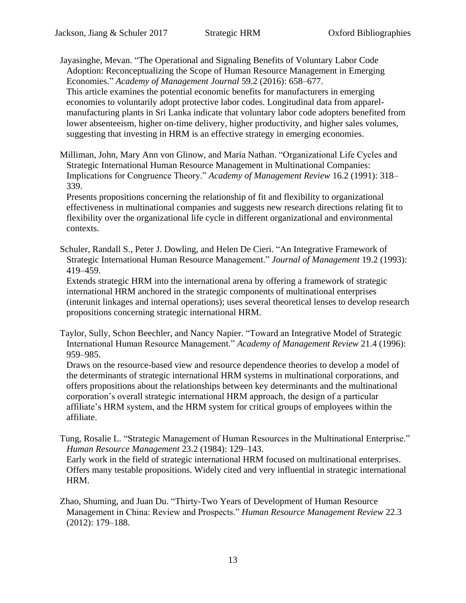<span id="page-12-0"></span>Jayasinghe, Mevan. "The Operational and Signaling Benefits of Voluntary Labor Code Adoption: Reconceptualizing the Scope of Human Resource Management in Emerging Economies." *Academy of Management Journal* 59.2 (2016): 658–677.

This article examines the potential economic benefits for manufacturers in emerging economies to voluntarily adopt protective labor codes. Longitudinal data from apparelmanufacturing plants in Sri Lanka indicate that voluntary labor code adopters benefited from lower absenteeism, higher on-time delivery, higher productivity, and higher sales volumes, suggesting that investing in HRM is an effective strategy in emerging economies.

Milliman, John, Mary Ann von Glinow, and Maria Nathan. "Organizational Life Cycles and Strategic International Human Resource Management in Multinational Companies: Implications for Congruence Theory." *Academy of Management Review* 16.2 (1991): 318– 339.

Presents propositions concerning the relationship of fit and flexibility to organizational effectiveness in multinational companies and suggests new research directions relating fit to flexibility over the organizational life cycle in different organizational and environmental contexts.

Schuler, Randall S., Peter J. Dowling, and Helen De Cieri. "An Integrative Framework of Strategic International Human Resource Management." *Journal of Management* 19.2 (1993): 419–459.

Extends strategic HRM into the international arena by offering a framework of strategic international HRM anchored in the strategic components of multinational enterprises (interunit linkages and internal operations); uses several theoretical lenses to develop research propositions concerning strategic international HRM.

Taylor, Sully, Schon Beechler, and Nancy Napier. "Toward an Integrative Model of Strategic International Human Resource Management." *Academy of Management Review* 21.4 (1996): 959–985.

Draws on the resource-based view and resource dependence theories to develop a model of the determinants of strategic international HRM systems in multinational corporations, and offers propositions about the relationships between key determinants and the multinational corporation's overall strategic international HRM approach, the design of a particular affiliate's HRM system, and the HRM system for critical groups of employees within the affiliate.

Tung, Rosalie L. "Strategic Management of Human Resources in the Multinational Enterprise." *Human Resource Management* 23.2 (1984): 129–143. Early work in the field of strategic international HRM focused on multinational enterprises. Offers many testable propositions. Widely cited and very influential in strategic international HRM.

Zhao, Shuming, and Juan Du. "Thirty-Two Years of Development of Human Resource Management in China: Review and Prospects." *Human Resource Management Review* 22.3 (2012): 179–188.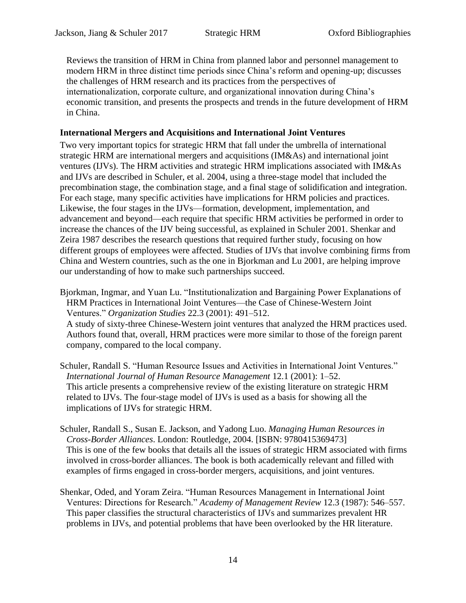Reviews the transition of HRM in China from planned labor and personnel management to modern HRM in three distinct time periods since China's reform and opening-up; discusses the challenges of HRM research and its practices from the perspectives of internationalization, corporate culture, and organizational innovation during China's economic transition, and presents the prospects and trends in the future development of HRM in China.

#### **International Mergers and Acquisitions and International Joint Ventures**

Two very important topics for strategic HRM that fall under the umbrella of international strategic HRM are international mergers and acquisitions (IM&As) and international joint ventures (IJVs). The HRM activities and strategic HRM implications associated with IM&As and IJVs are described in Schuler, et al. [2004,](#page-13-0) using a three-stage model that included the precombination stage, the combination stage, and a final stage of solidification and integration. For each stage, many specific activities have implications for HRM policies and practices. Likewise, the four stages in the IJVs—formation, development, implementation, and advancement and beyond—each require that specific HRM activities be performed in order to increase the chances of the IJV being successful, as explained in Schuler [2001.](file:///C:/Users/fresea/AppData/Local/Microsoft/Windows/Temporary%20Internet%20Files/Content.Outlook/B5HZK4M5/Human%23Ref50) Shenkar and Zeira [1987](file:///C:/Users/fresea/AppData/Local/Microsoft/Windows/Temporary%20Internet%20Files/Content.Outlook/B5HZK4M5/Human%23Ref52) describes the research questions that required further study, focusing on how different groups of employees were affected. Studies of IJVs that involve combining firms from China and Western countries, such as the one in Bjorkman and Lu [2001,](file:///C:/Users/fresea/AppData/Local/Microsoft/Windows/Temporary%20Internet%20Files/Content.Outlook/B5HZK4M5/Institutionalization%23Ref49) are helping improve our understanding of how to make such partnerships succeed.

- Bjorkman, Ingmar, and Yuan Lu. "Institutionalization and Bargaining Power Explanations of HRM Practices in International Joint Ventures—the Case of Chinese-Western Joint Ventures." *Organization Studies* 22.3 (2001): 491–512. A study of sixty-three Chinese-Western joint ventures that analyzed the HRM practices used. Authors found that, overall, HRM practices were more similar to those of the foreign parent company, compared to the local company.
- Schuler, Randall S. "Human Resource Issues and Activities in International Joint Ventures." *International Journal of Human Resource Management* 12.1 (2001): 1–52. This article presents a comprehensive review of the existing literature on strategic HRM related to IJVs. The four-stage model of IJVs is used as a basis for showing all the implications of IJVs for strategic HRM.
- <span id="page-13-0"></span>Schuler, Randall S., Susan E. Jackson, and Yadong Luo. *Managing Human Resources in Cross-Border Alliances*. London: Routledge, 2004. [ISBN: 9780415369473] This is one of the few books that details all the issues of strategic HRM associated with firms involved in cross-border alliances. The book is both academically relevant and filled with examples of firms engaged in cross-border mergers, acquisitions, and joint ventures.
- Shenkar, Oded, and Yoram Zeira. "Human Resources Management in International Joint Ventures: Directions for Research." *Academy of Management Review* 12.3 (1987): 546–557. This paper classifies the structural characteristics of IJVs and summarizes prevalent HR problems in IJVs, and potential problems that have been overlooked by the HR literature.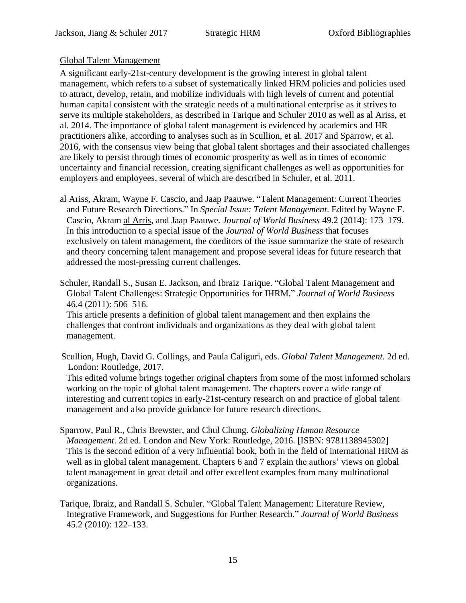## Global Talent Management

A significant early-21st-century development is the growing interest in global talent management, which refers to a subset of systematically linked HRM policies and policies used to attract, develop, retain, and mobilize individuals with high levels of current and potential human capital consistent with the strategic needs of a multinational enterprise as it strives to serve its multiple stakeholders, as described in Tarique and Schuler [2010](#page-14-0) as well as al Ariss, et al. [2014.](#page-14-1) The importance of global talent management is evidenced by academics and HR practitioners alike, according to analyses such as in Scullion, et al. [2017](#page-14-2) and Sparrow, et al. 2016, with the consensus view being that global talent shortages and their associated challenges are likely to persist through times of economic prosperity as well as in times of economic uncertainty and financial recession, creating significant challenges as well as opportunities for employers and employees, several of which are described in Schuler, et al. [2011.](#page-14-3)

- <span id="page-14-1"></span>al Ariss, Akram, Wayne F. Cascio, and Jaap Paauwe. "Talent Management: Current Theories and Future Research Directions." In *Special Issue: Talent Management*. Edited by Wayne F. Cascio, Akram al Arris, and Jaap Paauwe. *Journal of World Business* 49.2 (2014): 173–179. In this introduction to a special issue of the *Journal of World Business* that focuses exclusively on talent management, the coeditors of the issue summarize the state of research and theory concerning talent management and propose several ideas for future research that addressed the most-pressing current challenges.
- <span id="page-14-3"></span>Schuler, Randall S., Susan E. Jackson, and Ibraiz Tarique. "Global Talent Management and Global Talent Challenges: Strategic Opportunities for IHRM." *Journal of World Business* 46.4 (2011): 506–516.

This article presents a definition of global talent management and then explains the challenges that confront individuals and organizations as they deal with global talent management.

<span id="page-14-2"></span>Scullion, Hugh, David G. Collings, and Paula Caliguri, eds. *Global Talent Management*. 2d ed. London: Routledge, 2017.

This edited volume brings together original chapters from some of the most informed scholars working on the topic of global talent management. The chapters cover a wide range of interesting and current topics in early-21st-century research on and practice of global talent management and also provide guidance for future research directions.

- Sparrow, Paul R., Chris Brewster, and Chul Chung. *Globalizing Human Resource Management*. 2d ed. London and New York: Routledge, 2016. [ISBN: 9781138945302] This is the second edition of a very influential book, both in the field of international HRM as well as in global talent management. Chapters 6 and 7 explain the authors' views on global talent management in great detail and offer excellent examples from many multinational organizations.
- <span id="page-14-0"></span>Tarique, Ibraiz, and Randall S. Schuler. "Global Talent Management: Literature Review, Integrative Framework, and Suggestions for Further Research." *Journal of World Business* 45.2 (2010): 122–133.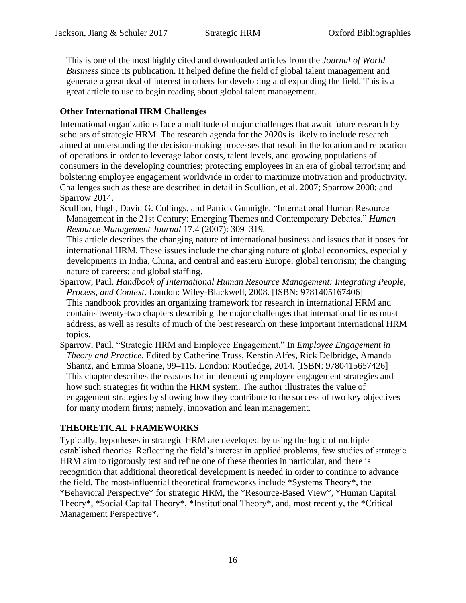This is one of the most highly cited and downloaded articles from the *Journal of World Business* since its publication. It helped define the field of global talent management and generate a great deal of interest in others for developing and expanding the field. This is a great article to use to begin reading about global talent management.

#### **Other International HRM Challenges**

International organizations face a multitude of major challenges that await future research by scholars of strategic HRM. The research agenda for the 2020s is likely to include research aimed at understanding the decision-making processes that result in the location and relocation of operations in order to leverage labor costs, talent levels, and growing populations of consumers in the developing countries; protecting employees in an era of global terrorism; and bolstering employee engagement worldwide in order to maximize motivation and productivity. Challenges such as these are described in detail in Scullion, et al. [2007;](file:///C:/Users/fresea/AppData/Local/Microsoft/Windows/Temporary%20Internet%20Files/Content.Outlook/B5HZK4M5/International%23Ref58) Sparrow [2008;](#page-15-0) and Sparrow [2014.](file:///C:/Users/fresea/AppData/Local/Microsoft/Windows/Temporary%20Internet%20Files/Content.Outlook/B5HZK4M5/Strategic%23Ref60)

Scullion, Hugh, David G. Collings, and Patrick Gunnigle. "International Human Resource Management in the 21st Century: Emerging Themes and Contemporary Debates." *Human Resource Management Journal* 17.4 (2007): 309–319.

This article describes the changing nature of international business and issues that it poses for international HRM. These issues include the changing nature of global economics, especially developments in India, China, and central and eastern Europe; global terrorism; the changing nature of careers; and global staffing.

- <span id="page-15-0"></span>Sparrow, Paul. *Handbook of International Human Resource Management: Integrating People, Process, and Context*. London: Wiley-Blackwell, 2008. [ISBN: 9781405167406] This handbook provides an organizing framework for research in international HRM and contains twenty-two chapters describing the major challenges that international firms must address, as well as results of much of the best research on these important international HRM topics.
- Sparrow, Paul. "Strategic HRM and Employee Engagement." In *Employee Engagement in Theory and Practice*. Edited by Catherine Truss, Kerstin Alfes, Rick Delbridge, Amanda Shantz, and Emma Sloane, 99–115. London: Routledge, 2014. [ISBN: 9780415657426] This chapter describes the reasons for implementing employee engagement strategies and how such strategies fit within the HRM system. The author illustrates the value of engagement strategies by showing how they contribute to the success of two key objectives for many modern firms; namely, innovation and lean management.

## **THEORETICAL FRAMEWORKS**

Typically, hypotheses in strategic HRM are developed by using the logic of multiple established theories. Reflecting the field's interest in applied problems, few studies of strategic HRM aim to rigorously test and refine one of these theories in particular, and there is recognition that additional theoretical development is needed in order to continue to advance the field. The most-influential theoretical frameworks include \*Systems Theory\*, the \*Behavioral Perspective\* for strategic HRM, the \*Resource-Based View\*, \*Human Capital Theory\*, \*Social Capital Theory\*, \*Institutional Theory\*, and, most recently, the \*Critical Management Perspective\*.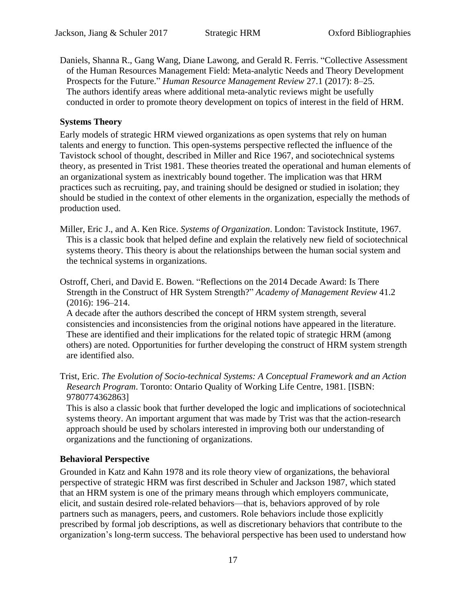Daniels, Shanna R., Gang Wang, Diane Lawong, and Gerald R. Ferris. "Collective Assessment of the Human Resources Management Field: Meta-analytic Needs and Theory Development Prospects for the Future." *Human Resource Management Review* 27.1 (2017): 8–25. The authors identify areas where additional meta-analytic reviews might be usefully conducted in order to promote theory development on topics of interest in the field of HRM.

#### **Systems Theory**

Early models of strategic HRM viewed organizations as open systems that rely on human talents and energy to function. This open-systems perspective reflected the influence of the Tavistock school of thought, described in Miller and Rice [1967,](#page-16-0) and sociotechnical systems theory, as presented in Trist [1981.](#page-16-1) These theories treated the operational and human elements of an organizational system as inextricably bound together. The implication was that HRM practices such as recruiting, pay, and training should be designed or studied in isolation; they should be studied in the context of other elements in the organization, especially the methods of production used.

- <span id="page-16-0"></span>Miller, Eric J., and A. Ken Rice. *Systems of Organization*. London: Tavistock Institute, 1967. This is a classic book that helped define and explain the relatively new field of sociotechnical systems theory. This theory is about the relationships between the human social system and the technical systems in organizations.
- Ostroff, Cheri, and David E. Bowen. "Reflections on the 2014 Decade Award: Is There Strength in the Construct of HR System Strength?" *Academy of Management Review* 41.2 (2016): 196–214.

A decade after the authors described the concept of HRM system strength, several consistencies and inconsistencies from the original notions have appeared in the literature. These are identified and their implications for the related topic of strategic HRM (among others) are noted. Opportunities for further developing the construct of HRM system strength are identified also.

<span id="page-16-1"></span>Trist, Eric. *The Evolution of Socio-technical Systems: A Conceptual Framework and an Action Research Program*. Toronto: Ontario Quality of Working Life Centre, 1981. [ISBN: 9780774362863]

This is also a classic book that further developed the logic and implications of sociotechnical systems theory. An important argument that was made by Trist was that the action-research approach should be used by scholars interested in improving both our understanding of organizations and the functioning of organizations.

## **Behavioral Perspective**

Grounded in Katz and Kahn [1978](#page-17-0) and its role theory view of organizations, the behavioral perspective of strategic HRM was first described in Schuler and Jackson [1987,](file:///C:/Users/fresea/AppData/Local/Microsoft/Windows/Temporary%20Internet%20Files/Content.Outlook/B5HZK4M5/Linking%23Ref68) which stated that an HRM system is one of the primary means through which employers communicate, elicit, and sustain desired role-related behaviors—that is, behaviors approved of by role partners such as managers, peers, and customers. Role behaviors include those explicitly prescribed by formal job descriptions, as well as discretionary behaviors that contribute to the organization's long-term success. The behavioral perspective has been used to understand how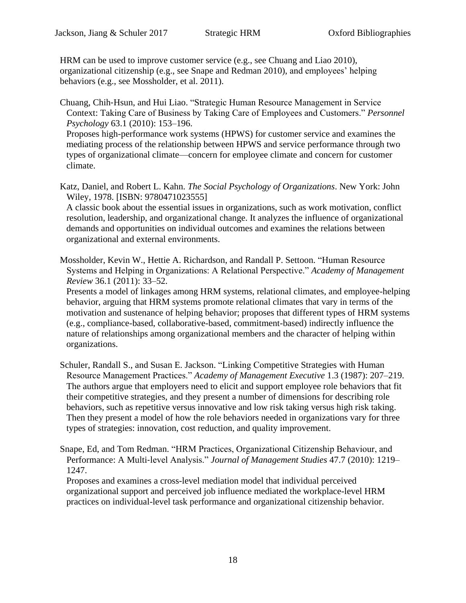HRM can be used to improve customer service (e.g., see Chuang and Liao [2010\)](file:///C:/Users/fresea/AppData/Local/Microsoft/Windows/Temporary%20Internet%20Files/Content.Outlook/B5HZK4M5/Strategic%23Ref65), organizational citizenship (e.g., see Snape and Redman [2010\)](file:///C:/Users/fresea/AppData/Local/Microsoft/Windows/Temporary%20Internet%20Files/Content.Outlook/B5HZK4M5/HRM%23Ref69), and employees' helping behaviors (e.g., see Mossholder, et al. [2011\)](file:///C:/Users/fresea/AppData/Local/Microsoft/Windows/Temporary%20Internet%20Files/Content.Outlook/B5HZK4M5/Human%23Ref67).

Chuang, Chih‐Hsun, and Hui Liao. "Strategic Human Resource Management in Service Context: Taking Care of Business by Taking Care of Employees and Customers." *Personnel Psychology* 63.1 (2010): 153–196.

Proposes high-performance work systems (HPWS) for customer service and examines the mediating process of the relationship between HPWS and service performance through two types of organizational climate—concern for employee climate and concern for customer climate.

<span id="page-17-0"></span>Katz, Daniel, and Robert L. Kahn. *The Social Psychology of Organizations*. New York: John Wiley, 1978. [ISBN: 9780471023555]

A classic book about the essential issues in organizations, such as work motivation, conflict resolution, leadership, and organizational change. It analyzes the influence of organizational demands and opportunities on individual outcomes and examines the relations between organizational and external environments.

Mossholder, Kevin W., Hettie A. Richardson, and Randall P. Settoon. "Human Resource Systems and Helping in Organizations: A Relational Perspective." *Academy of Management Review* 36.1 (2011): 33–52.

Presents a model of linkages among HRM systems, relational climates, and employee-helping behavior, arguing that HRM systems promote relational climates that vary in terms of the motivation and sustenance of helping behavior; proposes that different types of HRM systems (e.g., compliance-based, collaborative-based, commitment-based) indirectly influence the nature of relationships among organizational members and the character of helping within organizations.

Schuler, Randall S., and Susan E. Jackson. "Linking Competitive Strategies with Human Resource Management Practices." *Academy of Management Executive* 1.3 (1987): 207–219. The authors argue that employers need to elicit and support employee role behaviors that fit their competitive strategies, and they present a number of dimensions for describing role behaviors, such as repetitive versus innovative and low risk taking versus high risk taking. Then they present a model of how the role behaviors needed in organizations vary for three types of strategies: innovation, cost reduction, and quality improvement.

Snape, Ed, and Tom Redman. "HRM Practices, Organizational Citizenship Behaviour, and Performance: A Multi‐level Analysis." *Journal of Management Studies* 47.7 (2010): 1219– 1247.

Proposes and examines a cross-level mediation model that individual perceived organizational support and perceived job influence mediated the workplace-level HRM practices on individual-level task performance and organizational citizenship behavior.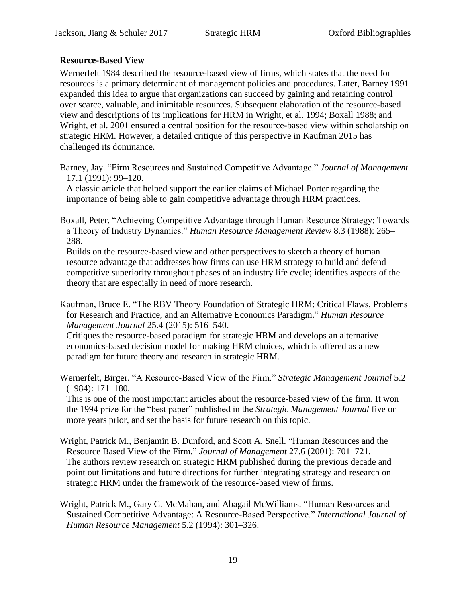#### **Resource-Based View**

Wernerfelt [1984](file:///C:/Users/fresea/AppData/Local/Microsoft/Windows/Temporary%20Internet%20Files/Content.Outlook/B5HZK4M5/A%23Ref73) described the resource-based view of firms, which states that the need for resources is a primary determinant of management policies and procedures. Later, Barney [1991](file:///C:/Users/fresea/AppData/Local/Microsoft/Windows/Temporary%20Internet%20Files/Content.Outlook/B5HZK4M5/Firm%23Ref70) expanded this idea to argue that organizations can succeed by gaining and retaining control over scarce, valuable, and inimitable resources. Subsequent elaboration of the resource-based view and descriptions of its implications for HRM in Wright, et al. [1994;](file:///C:/Users/fresea/AppData/Local/Microsoft/Windows/Temporary%20Internet%20Files/Content.Outlook/B5HZK4M5/Human%23Ref75) Boxall [1988;](file:///C:/Users/fresea/AppData/Local/Microsoft/Windows/Temporary%20Internet%20Files/Content.Outlook/B5HZK4M5/Achieving%23Ref71) and Wright, et al. [2001](file:///C:/Users/fresea/AppData/Local/Microsoft/Windows/Temporary%20Internet%20Files/Content.Outlook/B5HZK4M5/Human%23Ref74) ensured a central position for the resource-based view within scholarship on strategic HRM. However, a detailed critique of this perspective in Kaufman [2015](#page-18-0) has challenged its dominance.

Barney, Jay. "Firm Resources and Sustained Competitive Advantage." *Journal of Management* 17.1 (1991): 99–120.

A classic article that helped support the earlier claims of Michael Porter regarding the importance of being able to gain competitive advantage through HRM practices.

Boxall, Peter. "Achieving Competitive Advantage through Human Resource Strategy: Towards a Theory of Industry Dynamics." *Human Resource Management Review* 8.3 (1988): 265– 288.

Builds on the resource-based view and other perspectives to sketch a theory of human resource advantage that addresses how firms can use HRM strategy to build and defend competitive superiority throughout phases of an industry life cycle; identifies aspects of the theory that are especially in need of more research.

<span id="page-18-0"></span>Kaufman, Bruce E. "The RBV Theory Foundation of Strategic HRM: Critical Flaws, Problems for Research and Practice, and an Alternative Economics Paradigm." *Human Resource Management Journal* 25.4 (2015): 516–540.

Critiques the resource-based paradigm for strategic HRM and develops an alternative economics-based decision model for making HRM choices, which is offered as a new paradigm for future theory and research in strategic HRM.

Wernerfelt, Birger. "A Resource‐Based View of the Firm." *Strategic Management Journal* 5.2 (1984): 171–180.

This is one of the most important articles about the resource-based view of the firm. It won the 1994 prize for the "best paper" published in the *Strategic Management Journal* five or more years prior, and set the basis for future research on this topic.

- Wright, Patrick M., Benjamin B. Dunford, and Scott A. Snell. "Human Resources and the Resource Based View of the Firm." *Journal of Management* 27.6 (2001): 701–721. The authors review research on strategic HRM published during the previous decade and point out limitations and future directions for further integrating strategy and research on strategic HRM under the framework of the resource-based view of firms.
- Wright, Patrick M., Gary C. McMahan, and Abagail McWilliams. "Human Resources and Sustained Competitive Advantage: A Resource-Based Perspective." *International Journal of Human Resource Management* 5.2 (1994): 301–326.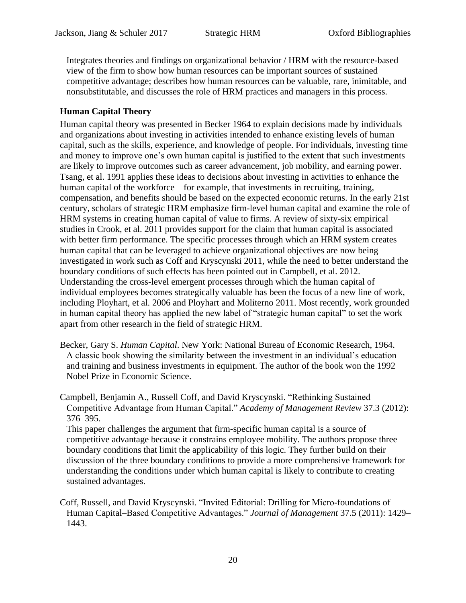Integrates theories and findings on organizational behavior / HRM with the resource-based view of the firm to show how human resources can be important sources of sustained competitive advantage; describes how human resources can be valuable, rare, inimitable, and nonsubstitutable, and discusses the role of HRM practices and managers in this process.

## **Human Capital Theory**

Human capital theory was presented in Becker [1964](#page-19-0) to explain decisions made by individuals and organizations about investing in activities intended to enhance existing levels of human capital, such as the skills, experience, and knowledge of people. For individuals, investing time and money to improve one's own human capital is justified to the extent that such investments are likely to improve outcomes such as career advancement, job mobility, and earning power. Tsang, et al. [1991](file:///C:/Users/fresea/AppData/Local/Microsoft/Windows/Temporary%20Internet%20Files/Content.Outlook/B5HZK4M5/The%23Ref82) applies these ideas to decisions about investing in activities to enhance the human capital of the workforce—for example, that investments in recruiting, training, compensation, and benefits should be based on the expected economic returns. In the early 21st century, scholars of strategic HRM emphasize firm-level human capital and examine the role of HRM systems in creating human capital of value to firms. A review of sixty-six empirical studies in Crook, et al. [2011](file:///C:/Users/fresea/AppData/Local/Microsoft/Windows/Temporary%20Internet%20Files/Content.Outlook/B5HZK4M5/Does%23Ref79) provides support for the claim that human capital is associated with better firm performance. The specific processes through which an HRM system creates human capital that can be leveraged to achieve organizational objectives are now being investigated in work such as Coff and Kryscynski [2011,](file:///C:/Users/fresea/AppData/Local/Microsoft/Windows/Temporary%20Internet%20Files/Content.Outlook/B5HZK4M5/Invited%23Ref78) while the need to better understand the boundary conditions of such effects has been pointed out in Campbell, et al. [2012.](file:///C:/Users/fresea/AppData/Local/Microsoft/Windows/Temporary%20Internet%20Files/Content.Outlook/B5HZK4M5/Rethinking%23Ref77) Understanding the cross-level emergent processes through which the human capital of individual employees becomes strategically valuable has been the focus of a new line of work, including Ployhart, et al. [2006](file:///C:/Users/fresea/AppData/Local/Microsoft/Windows/Temporary%20Internet%20Files/Content.Outlook/B5HZK4M5/The%23Ref81) and Ployhart and Moliterno [2011.](file:///C:/Users/fresea/AppData/Local/Microsoft/Windows/Temporary%20Internet%20Files/Content.Outlook/B5HZK4M5/Emergence%23Ref80) Most recently, work grounded in human capital theory has applied the new label of "strategic human capital" to set the work apart from other research in the field of strategic HRM.

<span id="page-19-0"></span>Becker, Gary S. *Human Capital*. New York: National Bureau of Economic Research, 1964. A classic book showing the similarity between the investment in an individual's education and training and business investments in equipment. The author of the book won the 1992 Nobel Prize in Economic Science.

Campbell, Benjamin A., Russell Coff, and David Kryscynski. "Rethinking Sustained Competitive Advantage from Human Capital." *Academy of Management Review* 37.3 (2012): 376–395.

This paper challenges the argument that firm-specific human capital is a source of competitive advantage because it constrains employee mobility. The authors propose three boundary conditions that limit the applicability of this logic. They further build on their discussion of the three boundary conditions to provide a more comprehensive framework for understanding the conditions under which human capital is likely to contribute to creating sustained advantages.

Coff, Russell, and David Kryscynski. "Invited Editorial: Drilling for Micro-foundations of Human Capital–Based Competitive Advantages." *Journal of Management* 37.5 (2011): 1429– 1443.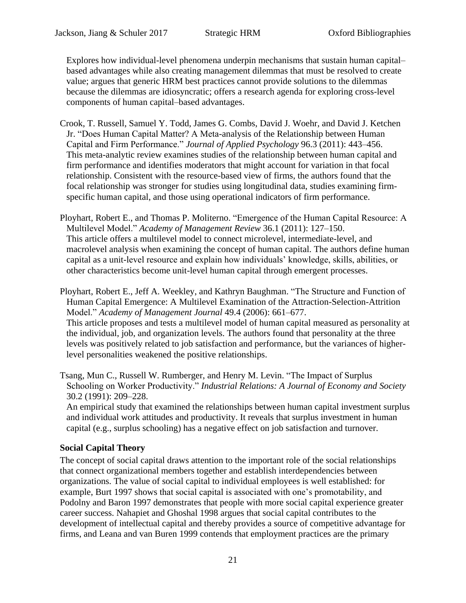Explores how individual-level phenomena underpin mechanisms that sustain human capital– based advantages while also creating management dilemmas that must be resolved to create value; argues that generic HRM best practices cannot provide solutions to the dilemmas because the dilemmas are idiosyncratic; offers a research agenda for exploring cross-level components of human capital–based advantages.

- Crook, T. Russell, Samuel Y. Todd, James G. Combs, David J. Woehr, and David J. Ketchen Jr. "Does Human Capital Matter? A Meta-analysis of the Relationship between Human Capital and Firm Performance." *Journal of Applied Psychology* 96.3 (2011): 443–456. This meta-analytic review examines studies of the relationship between human capital and firm performance and identifies moderators that might account for variation in that focal relationship. Consistent with the resource-based view of firms, the authors found that the focal relationship was stronger for studies using longitudinal data, studies examining firmspecific human capital, and those using operational indicators of firm performance.
- Ployhart, Robert E., and Thomas P. Moliterno. "Emergence of the Human Capital Resource: A Multilevel Model." *Academy of Management Review* 36.1 (2011): 127–150. This article offers a multilevel model to connect microlevel, intermediate-level, and macrolevel analysis when examining the concept of human capital. The authors define human capital as a unit-level resource and explain how individuals' knowledge, skills, abilities, or other characteristics become unit-level human capital through emergent processes.

Ployhart, Robert E., Jeff A. Weekley, and Kathryn Baughman. "The Structure and Function of Human Capital Emergence: A Multilevel Examination of the Attraction-Selection-Attrition Model." *Academy of Management Journal* 49.4 (2006): 661–677. This article proposes and tests a multilevel model of human capital measured as personality at the individual, job, and organization levels. The authors found that personality at the three levels was positively related to job satisfaction and performance, but the variances of higherlevel personalities weakened the positive relationships.

Tsang, Mun C., Russell W. Rumberger, and Henry M. Levin. "The Impact of Surplus Schooling on Worker Productivity." *Industrial Relations: A Journal of Economy and Society* 30.2 (1991): 209–228.

An empirical study that examined the relationships between human capital investment surplus and individual work attitudes and productivity. It reveals that surplus investment in human capital (e.g., surplus schooling) has a negative effect on job satisfaction and turnover.

## **Social Capital Theory**

The concept of social capital draws attention to the important role of the social relationships that connect organizational members together and establish interdependencies between organizations. The value of social capital to individual employees is well established: for example, Burt [1997](file:///C:/Users/fresea/AppData/Local/Microsoft/Windows/Temporary%20Internet%20Files/Content.Outlook/B5HZK4M5/The%23Ref83) shows that social capital is associated with one's promotability, and Podolny and Baron [1997](file:///C:/Users/fresea/AppData/Local/Microsoft/Windows/Temporary%20Internet%20Files/Content.Outlook/B5HZK4M5/Resources%23Ref87) demonstrates that people with more social capital experience greater career success. Nahapiet and Ghoshal [1998](file:///C:/Users/fresea/AppData/Local/Microsoft/Windows/Temporary%20Internet%20Files/Content.Outlook/B5HZK4M5/Social%23Ref86) argues that social capital contributes to the development of intellectual capital and thereby provides a source of competitive advantage for firms, and Leana and van Buren [1999](file:///C:/Users/fresea/AppData/Local/Microsoft/Windows/Temporary%20Internet%20Files/Content.Outlook/B5HZK4M5/Organizational%23Ref85) contends that employment practices are the primary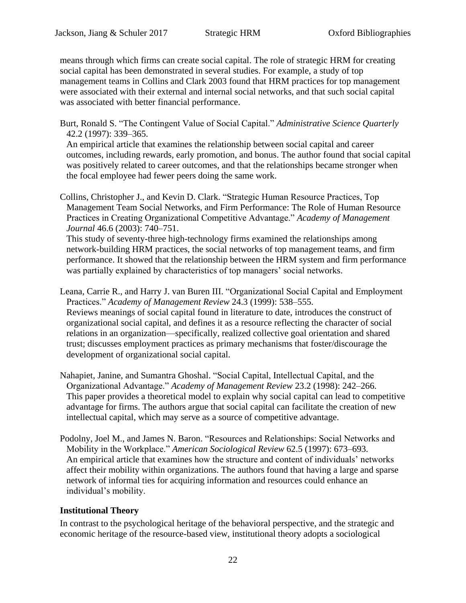means through which firms can create social capital. The role of strategic HRM for creating social capital has been demonstrated in several studies. For example, a study of top management teams in Collins and Clark [2003](file:///C:/Users/fresea/AppData/Local/Microsoft/Windows/Temporary%20Internet%20Files/Content.Outlook/B5HZK4M5/Strategic%23Ref84) found that HRM practices for top management were associated with their external and internal social networks, and that such social capital was associated with better financial performance.

Burt, Ronald S. "The Contingent Value of Social Capital." *Administrative Science Quarterly* 42.2 (1997): 339–365.

An empirical article that examines the relationship between social capital and career outcomes, including rewards, early promotion, and bonus. The author found that social capital was positively related to career outcomes, and that the relationships became stronger when the focal employee had fewer peers doing the same work.

Collins, Christopher J., and Kevin D. Clark. "Strategic Human Resource Practices, Top Management Team Social Networks, and Firm Performance: The Role of Human Resource Practices in Creating Organizational Competitive Advantage." *Academy of Management Journal* 46.6 (2003): 740–751.

This study of seventy-three high-technology firms examined the relationships among network-building HRM practices, the social networks of top management teams, and firm performance. It showed that the relationship between the HRM system and firm performance was partially explained by characteristics of top managers' social networks.

Leana, Carrie R., and Harry J. van Buren III. "Organizational Social Capital and Employment Practices." *Academy of Management Review* 24.3 (1999): 538–555. Reviews meanings of social capital found in literature to date, introduces the construct of organizational social capital, and defines it as a resource reflecting the character of social relations in an organization—specifically, realized collective goal orientation and shared trust; discusses employment practices as primary mechanisms that foster/discourage the development of organizational social capital.

- Nahapiet, Janine, and Sumantra Ghoshal. "Social Capital, Intellectual Capital, and the Organizational Advantage." *Academy of Management Review* 23.2 (1998): 242–266. This paper provides a theoretical model to explain why social capital can lead to competitive advantage for firms. The authors argue that social capital can facilitate the creation of new intellectual capital, which may serve as a source of competitive advantage.
- Podolny, Joel M., and James N. Baron. "Resources and Relationships: Social Networks and Mobility in the Workplace." *American Sociological Review* 62.5 (1997): 673–693. An empirical article that examines how the structure and content of individuals' networks affect their mobility within organizations. The authors found that having a large and sparse network of informal ties for acquiring information and resources could enhance an individual's mobility.

# **Institutional Theory**

In contrast to the psychological heritage of the behavioral perspective, and the strategic and economic heritage of the resource-based view, institutional theory adopts a sociological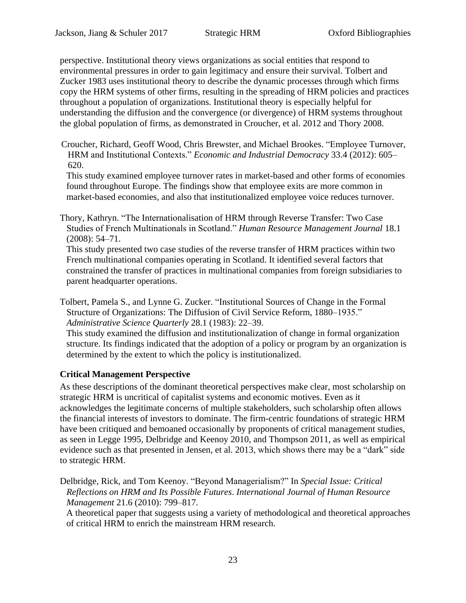perspective. Institutional theory views organizations as social entities that respond to environmental pressures in order to gain legitimacy and ensure their survival. Tolbert and Zucker [1983](file:///C:/Users/fresea/AppData/Local/Microsoft/Windows/Temporary%20Internet%20Files/Content.Outlook/B5HZK4M5/Institutional%23Ref90) uses institutional theory to describe the dynamic processes through which firms copy the HRM systems of other firms, resulting in the spreading of HRM policies and practices throughout a population of organizations. Institutional theory is especially helpful for understanding the diffusion and the convergence (or divergence) of HRM systems throughout the global population of firms, as demonstrated in Croucher, et al. [2012](file:///C:/Users/fresea/AppData/Local/Microsoft/Windows/Temporary%20Internet%20Files/Content.Outlook/B5HZK4M5/Employee%23Ref88) and Thory [2008.](file:///C:/Users/fresea/AppData/Local/Microsoft/Windows/Temporary%20Internet%20Files/Content.Outlook/B5HZK4M5/The%23Ref89)

Croucher, Richard, Geoff Wood, Chris Brewster, and Michael Brookes. "Employee Turnover, HRM and Institutional Contexts." *Economic and Industrial Democracy* 33.4 (2012): 605– 620.

This study examined employee turnover rates in market-based and other forms of economies found throughout Europe. The findings show that employee exits are more common in market-based economies, and also that institutionalized employee voice reduces turnover.

Thory, Kathryn. "The Internationalisation of HRM through Reverse Transfer: Two Case Studies of French Multinationals in Scotland." *Human Resource Management Journal* 18.1 (2008): 54–71.

This study presented two case studies of the reverse transfer of HRM practices within two French multinational companies operating in Scotland. It identified several factors that constrained the transfer of practices in multinational companies from foreign subsidiaries to parent headquarter operations.

Tolbert, Pamela S., and Lynne G. Zucker. "Institutional Sources of Change in the Formal Structure of Organizations: The Diffusion of Civil Service Reform, 1880–1935." *Administrative Science Quarterly* 28.1 (1983): 22–39.

This study examined the diffusion and institutionalization of change in formal organization structure. Its findings indicated that the adoption of a policy or program by an organization is determined by the extent to which the policy is institutionalized.

## **Critical Management Perspective**

As these descriptions of the dominant theoretical perspectives make clear, most scholarship on strategic HRM is uncritical of capitalist systems and economic motives. Even as it acknowledges the legitimate concerns of multiple stakeholders, such scholarship often allows the financial interests of investors to dominate. The firm-centric foundations of strategic HRM have been critiqued and bemoaned occasionally by proponents of critical management studies, as seen in Legge [1995,](#page-23-0) Delbridge and Keenoy [2010,](file:///C:/Users/fresea/AppData/Local/Microsoft/Windows/Temporary%20Internet%20Files/Content.Outlook/B5HZK4M5/Beyond%23Ref91) and Thompson [2011,](file:///C:/Users/fresea/AppData/Local/Microsoft/Windows/Temporary%20Internet%20Files/Content.Outlook/B5HZK4M5/The%23Ref94) as well as empirical evidence such as that presented in Jensen, et al. [2013,](file:///C:/Users/fresea/AppData/Local/Microsoft/Windows/Temporary%20Internet%20Files/Content.Outlook/B5HZK4M5/High-Performance%23Ref92) which shows there may be a "dark" side to strategic HRM.

Delbridge, Rick, and Tom Keenoy. "Beyond Managerialism?" In *Special Issue: Critical Reflections on HRM and Its Possible Futures*. *International Journal of Human Resource Management* 21.6 (2010): 799–817.

A theoretical paper that suggests using a variety of methodological and theoretical approaches of critical HRM to enrich the mainstream HRM research.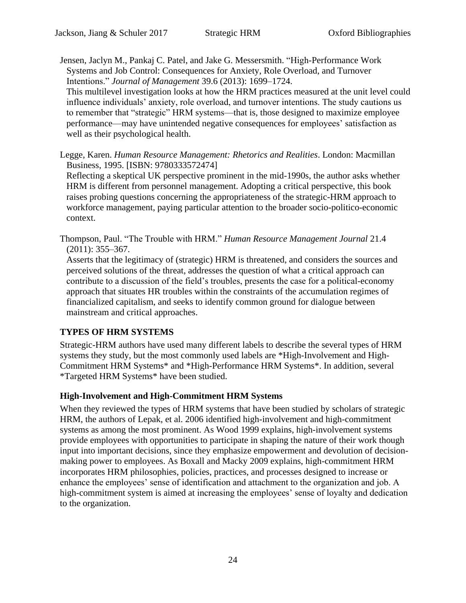Jensen, Jaclyn M., Pankaj C. Patel, and Jake G. Messersmith. "High-Performance Work Systems and Job Control: Consequences for Anxiety, Role Overload, and Turnover Intentions." *Journal of Management* 39.6 (2013): 1699–1724.

This multilevel investigation looks at how the HRM practices measured at the unit level could influence individuals' anxiety, role overload, and turnover intentions. The study cautions us to remember that "strategic" HRM systems—that is, those designed to maximize employee performance—may have unintended negative consequences for employees' satisfaction as well as their psychological health.

<span id="page-23-0"></span>Legge, Karen. *Human Resource Management: Rhetorics and Realities*. London: Macmillan Business, 1995. [ISBN: 9780333572474]

Reflecting a skeptical UK perspective prominent in the mid-1990s, the author asks whether HRM is different from personnel management. Adopting a critical perspective, this book raises probing questions concerning the appropriateness of the strategic-HRM approach to workforce management, paying particular attention to the broader socio-politico-economic context.

Thompson, Paul. "The Trouble with HRM." *Human Resource Management Journal* 21.4 (2011): 355–367.

Asserts that the legitimacy of (strategic) HRM is threatened, and considers the sources and perceived solutions of the threat, addresses the question of what a critical approach can contribute to a discussion of the field's troubles, presents the case for a political-economy approach that situates HR troubles within the constraints of the accumulation regimes of financialized capitalism, and seeks to identify common ground for dialogue between mainstream and critical approaches.

## **TYPES OF HRM SYSTEMS**

Strategic-HRM authors have used many different labels to describe the several types of HRM systems they study, but the most commonly used labels are \*High-Involvement and High-Commitment HRM Systems\* and \*High-Performance HRM Systems\*. In addition, several \*Targeted HRM Systems\* have been studied.

## **High-Involvement and High-Commitment HRM Systems**

When they reviewed the types of HRM systems that have been studied by scholars of strategic HRM, the authors of Lepak, et al. [2006](file:///C:/Users/fresea/AppData/Local/Microsoft/Windows/Temporary%20Internet%20Files/Content.Outlook/B5HZK4M5/A%23Ref96) identified high-involvement and high-commitment systems as among the most prominent. As Wood [1999](file:///C:/Users/fresea/AppData/Local/Microsoft/Windows/Temporary%20Internet%20Files/Content.Outlook/B5HZK4M5/Human%23Ref97) explains, high-involvement systems provide employees with opportunities to participate in shaping the nature of their work though input into important decisions, since they emphasize empowerment and devolution of decisionmaking power to employees. As Boxall and Macky [2009](file:///C:/Users/fresea/AppData/Local/Microsoft/Windows/Temporary%20Internet%20Files/Content.Outlook/B5HZK4M5/Research%23Ref95) explains, high-commitment HRM incorporates HRM philosophies, policies, practices, and processes designed to increase or enhance the employees' sense of identification and attachment to the organization and job. A high-commitment system is aimed at increasing the employees' sense of loyalty and dedication to the organization.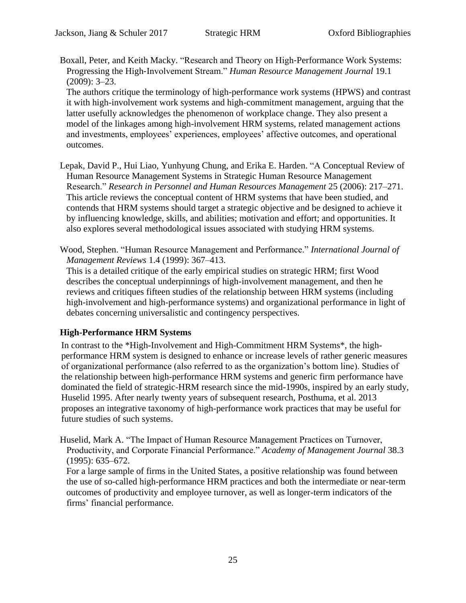Boxall, Peter, and Keith Macky. "Research and Theory on High‐Performance Work Systems: Progressing the High‐Involvement Stream." *Human Resource Management Journal* 19.1 (2009): 3–23.

The authors critique the terminology of high-performance work systems (HPWS) and contrast it with high-involvement work systems and high-commitment management, arguing that the latter usefully acknowledges the phenomenon of workplace change. They also present a model of the linkages among high-involvement HRM systems, related management actions and investments, employees' experiences, employees' affective outcomes, and operational outcomes.

- Lepak, David P., Hui Liao, Yunhyung Chung, and Erika E. Harden. "A Conceptual Review of Human Resource Management Systems in Strategic Human Resource Management Research." *Research in Personnel and Human Resources Management* 25 (2006): 217–271. This article reviews the conceptual content of HRM systems that have been studied, and contends that HRM systems should target a strategic objective and be designed to achieve it by influencing knowledge, skills, and abilities; motivation and effort; and opportunities. It also explores several methodological issues associated with studying HRM systems.
- Wood, Stephen. "Human Resource Management and Performance." *International Journal of Management Reviews* 1.4 (1999): 367–413.

This is a detailed critique of the early empirical studies on strategic HRM; first Wood describes the conceptual underpinnings of high-involvement management, and then he reviews and critiques fifteen studies of the relationship between HRM systems (including high-involvement and high-performance systems) and organizational performance in light of debates concerning universalistic and contingency perspectives.

## **High-Performance HRM Systems**

In contrast to the \*High-Involvement and High-Commitment HRM Systems\*, the highperformance HRM system is designed to enhance or increase levels of rather generic measures of organizational performance (also referred to as the organization's bottom line). Studies of the relationship between high-performance HRM systems and generic firm performance have dominated the field of strategic-HRM research since the mid-1990s, inspired by an early study, Huselid [1995.](file:///C:/Users/fresea/AppData/Local/Microsoft/Windows/Temporary%20Internet%20Files/Content.Outlook/B5HZK4M5/The%23Ref98) After nearly twenty years of subsequent research, Posthuma, et al. [2013](file:///C:/Users/fresea/AppData/Local/Microsoft/Windows/Temporary%20Internet%20Files/Content.Outlook/B5HZK4M5/A%23Ref99) proposes an integrative taxonomy of high-performance work practices that may be useful for future studies of such systems.

Huselid, Mark A. "The Impact of Human Resource Management Practices on Turnover, Productivity, and Corporate Financial Performance." *Academy of Management Journal* 38.3 (1995): 635–672.

For a large sample of firms in the United States, a positive relationship was found between the use of so-called high-performance HRM practices and both the intermediate or near-term outcomes of productivity and employee turnover, as well as longer-term indicators of the firms' financial performance.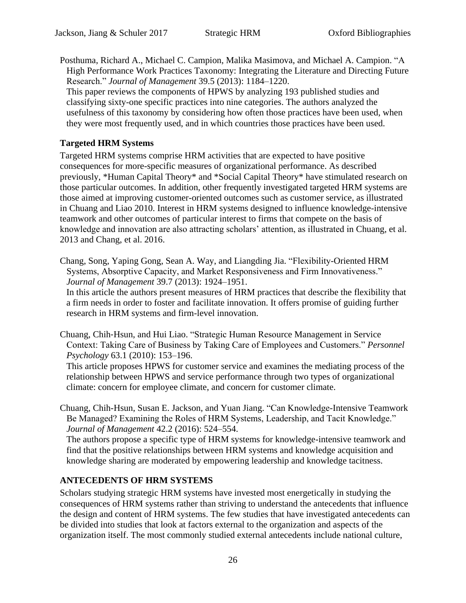Posthuma, Richard A., Michael C. Campion, Malika Masimova, and Michael A. Campion. "A High Performance Work Practices Taxonomy: Integrating the Literature and Directing Future Research." *Journal of Management* 39.5 (2013): 1184–1220. This paper reviews the components of HPWS by analyzing 193 published studies and

classifying sixty-one specific practices into nine categories. The authors analyzed the usefulness of this taxonomy by considering how often those practices have been used, when they were most frequently used, and in which countries those practices have been used.

#### **Targeted HRM Systems**

Targeted HRM systems comprise HRM activities that are expected to have positive consequences for more-specific measures of organizational performance. As described previously, \*Human Capital Theory\* and \*Social Capital Theory\* have stimulated research on those particular outcomes. In addition, other frequently investigated targeted HRM systems are those aimed at improving customer-oriented outcomes such as customer service, as illustrated in Chuang and Liao [2010.](file:///C:/Users/fresea/AppData/Local/Microsoft/Windows/Temporary%20Internet%20Files/Content.Outlook/B5HZK4M5/Strategic%23Ref101) Interest in HRM systems designed to influence knowledge-intensive teamwork and other outcomes of particular interest to firms that compete on the basis of knowledge and innovation are also attracting scholars' attention, as illustrated in Chuang, et al. [2013](file:///C:/Users/fresea/AppData/Local/Microsoft/Windows/Temporary%20Internet%20Files/Content.Outlook/B5HZK4M5/Can%23Ref102) and Chang, et al. [2016.](file:///C:/Users/fresea/AppData/Local/Microsoft/Windows/Temporary%20Internet%20Files/Content.Outlook/B5HZK4M5/Flexibility-Oriented%23Ref100)

Chang, Song, Yaping Gong, Sean A. Way, and Liangding Jia. "Flexibility-Oriented HRM Systems, Absorptive Capacity, and Market Responsiveness and Firm Innovativeness." *Journal of Management* 39.7 (2013): 1924–1951.

In this article the authors present measures of HRM practices that describe the flexibility that a firm needs in order to foster and facilitate innovation. It offers promise of guiding further research in HRM systems and firm-level innovation.

Chuang, Chih‐Hsun, and Hui Liao. "Strategic Human Resource Management in Service Context: Taking Care of Business by Taking Care of Employees and Customers." *Personnel Psychology* 63.1 (2010): 153–196.

This article proposes HPWS for customer service and examines the mediating process of the relationship between HPWS and service performance through two types of organizational climate: concern for employee climate, and concern for customer climate.

Chuang, Chih-Hsun, Susan E. Jackson, and Yuan Jiang. "Can Knowledge-Intensive Teamwork Be Managed? Examining the Roles of HRM Systems, Leadership, and Tacit Knowledge." *Journal of Management* 42.2 (2016): 524–554.

The authors propose a specific type of HRM systems for knowledge-intensive teamwork and find that the positive relationships between HRM systems and knowledge acquisition and knowledge sharing are moderated by empowering leadership and knowledge tacitness.

## **ANTECEDENTS OF HRM SYSTEMS**

Scholars studying strategic HRM systems have invested most energetically in studying the consequences of HRM systems rather than striving to understand the antecedents that influence the design and content of HRM systems. The few studies that have investigated antecedents can be divided into studies that look at factors external to the organization and aspects of the organization itself. The most commonly studied external antecedents include national culture,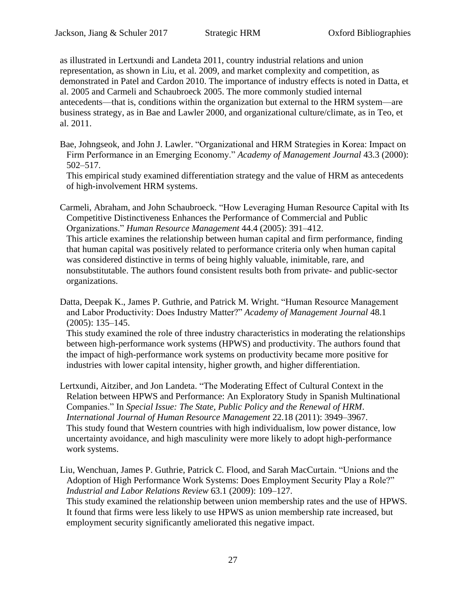as illustrated in Lertxundi and Landeta [2011,](file:///C:/Users/fresea/AppData/Local/Microsoft/Windows/Temporary%20Internet%20Files/Content.Outlook/B5HZK4M5/The%23Ref106) country industrial relations and union representation, as shown in Liu, et al. [2009,](file:///C:/Users/fresea/AppData/Local/Microsoft/Windows/Temporary%20Internet%20Files/Content.Outlook/B5HZK4M5/Unions%23Ref107) and market complexity and competition, as demonstrated in Patel and Cardon [2010.](file:///C:/Users/fresea/AppData/Local/Microsoft/Windows/Temporary%20Internet%20Files/Content.Outlook/B5HZK4M5/Adopting%23Ref108) The importance of industry effects is noted in Datta, et al. [2005](file:///C:/Users/fresea/AppData/Local/Microsoft/Windows/Temporary%20Internet%20Files/Content.Outlook/B5HZK4M5/Human%23Ref105) and Carmeli and Schaubroeck [2005.](file:///C:/Users/fresea/AppData/Local/Microsoft/Windows/Temporary%20Internet%20Files/Content.Outlook/B5HZK4M5/How%23Ref104) The more commonly studied internal antecedents—that is, conditions within the organization but external to the HRM system—are business strategy, as in Bae and Lawler [2000,](file:///C:/Users/fresea/AppData/Local/Microsoft/Windows/Temporary%20Internet%20Files/Content.Outlook/B5HZK4M5/Organizational%23Ref103) and organizational culture/climate, as in Teo, et al. [2011.](file:///C:/Users/fresea/AppData/Local/Microsoft/Windows/Temporary%20Internet%20Files/Content.Outlook/B5HZK4M5/Human%23Ref109)

Bae, Johngseok, and John J. Lawler. "Organizational and HRM Strategies in Korea: Impact on Firm Performance in an Emerging Economy." *Academy of Management Journal* 43.3 (2000): 502–517.

This empirical study examined differentiation strategy and the value of HRM as antecedents of high-involvement HRM systems.

Carmeli, Abraham, and John Schaubroeck. "How Leveraging Human Resource Capital with Its Competitive Distinctiveness Enhances the Performance of Commercial and Public Organizations." *Human Resource Management* 44.4 (2005): 391–412. This article examines the relationship between human capital and firm performance, finding that human capital was positively related to performance criteria only when human capital was considered distinctive in terms of being highly valuable, inimitable, rare, and nonsubstitutable. The authors found consistent results both from private- and public-sector organizations.

Datta, Deepak K., James P. Guthrie, and Patrick M. Wright. "Human Resource Management and Labor Productivity: Does Industry Matter?" *Academy of Management Journal* 48.1 (2005): 135–145.

This study examined the role of three industry characteristics in moderating the relationships between high-performance work systems (HPWS) and productivity. The authors found that the impact of high-performance work systems on productivity became more positive for industries with lower capital intensity, higher growth, and higher differentiation.

Lertxundi, Aitziber, and Jon Landeta. "The Moderating Effect of Cultural Context in the Relation between HPWS and Performance: An Exploratory Study in Spanish Multinational Companies." In *Special Issue: The State, Public Policy and the Renewal of HRM*. *International Journal of Human Resource Management* 22.18 (2011): 3949–3967. This study found that Western countries with high individualism, low power distance, low uncertainty avoidance, and high masculinity were more likely to adopt high-performance work systems.

Liu, Wenchuan, James P. Guthrie, Patrick C. Flood, and Sarah MacCurtain. "Unions and the Adoption of High Performance Work Systems: Does Employment Security Play a Role?" *Industrial and Labor Relations Review* 63.1 (2009): 109–127. This study examined the relationship between union membership rates and the use of HPWS. It found that firms were less likely to use HPWS as union membership rate increased, but employment security significantly ameliorated this negative impact.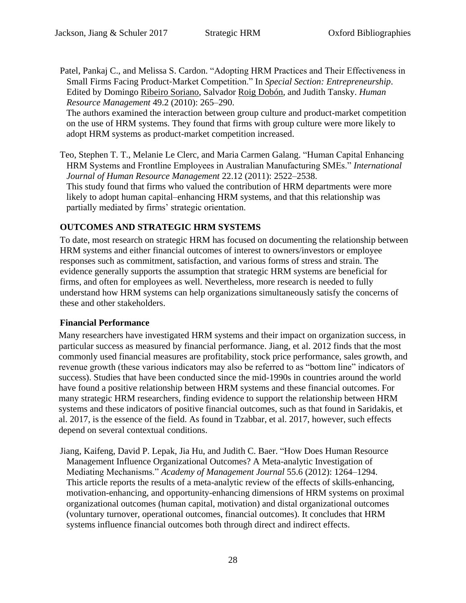Patel, Pankaj C., and Melissa S. Cardon. "Adopting HRM Practices and Their Effectiveness in Small Firms Facing Product‐Market Competition." In *Special Section: Entrepreneurship*. Edited by Domingo Ribeiro Soriano, Salvador Roig Dobón, and Judith Tansky. *Human Resource Management* 49.2 (2010): 265–290.

The authors examined the interaction between group culture and product-market competition on the use of HRM systems. They found that firms with group culture were more likely to adopt HRM systems as product-market competition increased.

Teo, Stephen T. T., Melanie Le Clerc, and Maria Carmen Galang. "Human Capital Enhancing HRM Systems and Frontline Employees in Australian Manufacturing SMEs." *International Journal of Human Resource Management* 22.12 (2011): 2522–2538. This study found that firms who valued the contribution of HRM departments were more likely to adopt human capital–enhancing HRM systems, and that this relationship was partially mediated by firms' strategic orientation.

# **OUTCOMES AND STRATEGIC HRM SYSTEMS**

To date, most research on strategic HRM has focused on documenting the relationship between HRM systems and either financial outcomes of interest to owners/investors or employee responses such as commitment, satisfaction, and various forms of stress and strain. The evidence generally supports the assumption that strategic HRM systems are beneficial for firms, and often for employees as well. Nevertheless, more research is needed to fully understand how HRM systems can help organizations simultaneously satisfy the concerns of these and other stakeholders.

## **Financial Performance**

Many researchers have investigated HRM systems and their impact on organization success, in particular success as measured by financial performance. Jiang, et al. [2012](file:///C:/Users/fresea/AppData/Local/Microsoft/Windows/Temporary%20Internet%20Files/Content.Outlook/B5HZK4M5/How%23Ref110) finds that the most commonly used financial measures are profitability, stock price performance, sales growth, and revenue growth (these various indicators may also be referred to as "bottom line" indicators of success). Studies that have been conducted since the mid-1990s in countries around the world have found a positive relationship between HRM systems and these financial outcomes. For many strategic HRM researchers, finding evidence to support the relationship between HRM systems and these indicators of positive financial outcomes, such as that found in Saridakis, et al. 2017, is the essence of the field. As found in Tzabbar, et al. [2017,](#page-28-0) however, such effects depend on several contextual conditions.

Jiang, Kaifeng, David P. Lepak, Jia Hu, and Judith C. Baer. "How Does Human Resource Management Influence Organizational Outcomes? A Meta-analytic Investigation of Mediating Mechanisms." *Academy of Management Journal* 55.6 (2012): 1264–1294. This article reports the results of a meta-analytic review of the effects of skills-enhancing, motivation-enhancing, and opportunity-enhancing dimensions of HRM systems on proximal organizational outcomes (human capital, motivation) and distal organizational outcomes (voluntary turnover, operational outcomes, financial outcomes). It concludes that HRM systems influence financial outcomes both through direct and indirect effects.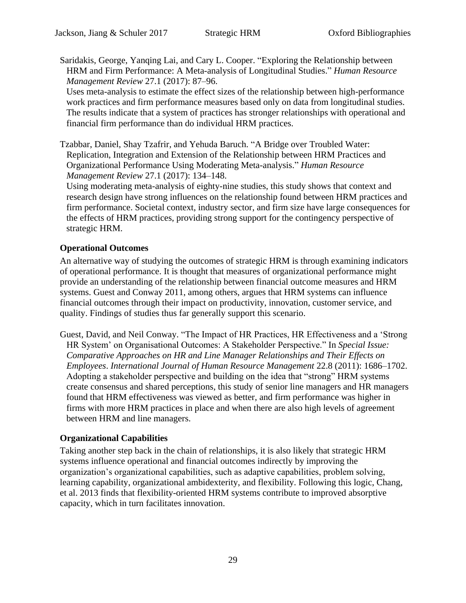Saridakis, George, Yanqing Lai, and Cary L. Cooper. "Exploring the Relationship between HRM and Firm Performance: A Meta-analysis of Longitudinal Studies." *Human Resource Management Review* 27.1 (2017): 87–96.

Uses meta-analysis to estimate the effect sizes of the relationship between high-performance work practices and firm performance measures based only on data from longitudinal studies. The results indicate that a system of practices has stronger relationships with operational and financial firm performance than do individual HRM practices.

<span id="page-28-0"></span>Tzabbar, Daniel, Shay Tzafrir, and Yehuda Baruch. "A Bridge over Troubled Water: Replication, Integration and Extension of the Relationship between HRM Practices and Organizational Performance Using Moderating Meta-analysis." *Human Resource Management Review* 27.1 (2017): 134–148.

Using moderating meta-analysis of eighty-nine studies, this study shows that context and research design have strong influences on the relationship found between HRM practices and firm performance. Societal context, industry sector, and firm size have large consequences for the effects of HRM practices, providing strong support for the contingency perspective of strategic HRM.

## **Operational Outcomes**

An alternative way of studying the outcomes of strategic HRM is through examining indicators of operational performance. It is thought that measures of organizational performance might provide an understanding of the relationship between financial outcome measures and HRM systems. Guest and Conway [2011,](file:///C:/Users/fresea/AppData/Local/Microsoft/Windows/Temporary%20Internet%20Files/Content.Outlook/B5HZK4M5/The%23Ref113) among others, argues that HRM systems can influence financial outcomes through their impact on productivity, innovation, customer service, and quality. Findings of studies thus far generally support this scenario.

Guest, David, and Neil Conway. "The Impact of HR Practices, HR Effectiveness and a 'Strong HR System' on Organisational Outcomes: A Stakeholder Perspective." In *Special Issue: Comparative Approaches on HR and Line Manager Relationships and Their Effects on Employees*. *International Journal of Human Resource Management* 22.8 (2011): 1686–1702. Adopting a stakeholder perspective and building on the idea that "strong" HRM systems create consensus and shared perceptions, this study of senior line managers and HR managers found that HRM effectiveness was viewed as better, and firm performance was higher in firms with more HRM practices in place and when there are also high levels of agreement between HRM and line managers.

## **Organizational Capabilities**

Taking another step back in the chain of relationships, it is also likely that strategic HRM systems influence operational and financial outcomes indirectly by improving the organization's organizational capabilities, such as adaptive capabilities, problem solving, learning capability, organizational ambidexterity, and flexibility. Following this logic, Chang, et al. [2013](file:///C:/Users/fresea/AppData/Local/Microsoft/Windows/Temporary%20Internet%20Files/Content.Outlook/B5HZK4M5/Flexibility-Oriented%23Ref114) finds that flexibility-oriented HRM systems contribute to improved absorptive capacity, which in turn facilitates innovation.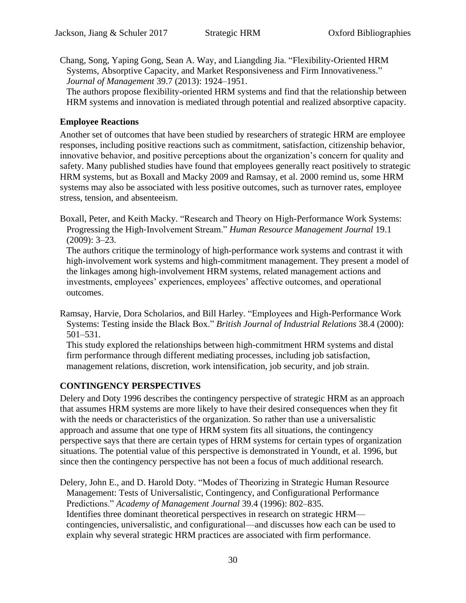Chang, Song, Yaping Gong, Sean A. Way, and Liangding Jia. "Flexibility-Oriented HRM Systems, Absorptive Capacity, and Market Responsiveness and Firm Innovativeness." *Journal of Management* 39.7 (2013): 1924–1951.

The authors propose flexibility-oriented HRM systems and find that the relationship between HRM systems and innovation is mediated through potential and realized absorptive capacity.

#### **Employee Reactions**

Another set of outcomes that have been studied by researchers of strategic HRM are employee responses, including positive reactions such as commitment, satisfaction, citizenship behavior, innovative behavior, and positive perceptions about the organization's concern for quality and safety. Many published studies have found that employees generally react positively to strategic HRM systems, but as Boxall and Macky [2009](file:///C:/Users/fresea/AppData/Local/Microsoft/Windows/Temporary%20Internet%20Files/Content.Outlook/B5HZK4M5/Research%23Ref115) and Ramsay, et al. [2000](file:///C:/Users/fresea/AppData/Local/Microsoft/Windows/Temporary%20Internet%20Files/Content.Outlook/B5HZK4M5/Employees%23Ref116) remind us, some HRM systems may also be associated with less positive outcomes, such as turnover rates, employee stress, tension, and absenteeism.

Boxall, Peter, and Keith Macky. "Research and Theory on High-Performance Work Systems: Progressing the High‐Involvement Stream." *Human Resource Management Journal* 19.1 (2009): 3–23.

The authors critique the terminology of high-performance work systems and contrast it with high-involvement work systems and high-commitment management. They present a model of the linkages among high-involvement HRM systems, related management actions and investments, employees' experiences, employees' affective outcomes, and operational outcomes.

Ramsay, Harvie, Dora Scholarios, and Bill Harley. "Employees and High-Performance Work Systems: Testing inside the Black Box." *British Journal of Industrial Relations* 38.4 (2000): 501–531.

This study explored the relationships between high-commitment HRM systems and distal firm performance through different mediating processes, including job satisfaction, management relations, discretion, work intensification, job security, and job strain.

## **CONTINGENCY PERSPECTIVES**

Delery and Doty [1996](file:///C:/Users/fresea/AppData/Local/Microsoft/Windows/Temporary%20Internet%20Files/Content.Outlook/B5HZK4M5/Modes%23Ref117) describes the contingency perspective of strategic HRM as an approach that assumes HRM systems are more likely to have their desired consequences when they fit with the needs or characteristics of the organization. So rather than use a universalistic approach and assume that one type of HRM system fits all situations, the contingency perspective says that there are certain types of HRM systems for certain types of organization situations. The potential value of this perspective is demonstrated in Youndt, et al. [1996,](file:///C:/Users/fresea/AppData/Local/Microsoft/Windows/Temporary%20Internet%20Files/Content.Outlook/B5HZK4M5/Human%23Ref118) but since then the contingency perspective has not been a focus of much additional research.

Delery, John E., and D. Harold Doty. "Modes of Theorizing in Strategic Human Resource Management: Tests of Universalistic, Contingency, and Configurational Performance Predictions." *Academy of Management Journal* 39.4 (1996): 802–835. Identifies three dominant theoretical perspectives in research on strategic HRM contingencies, universalistic, and configurational—and discusses how each can be used to explain why several strategic HRM practices are associated with firm performance.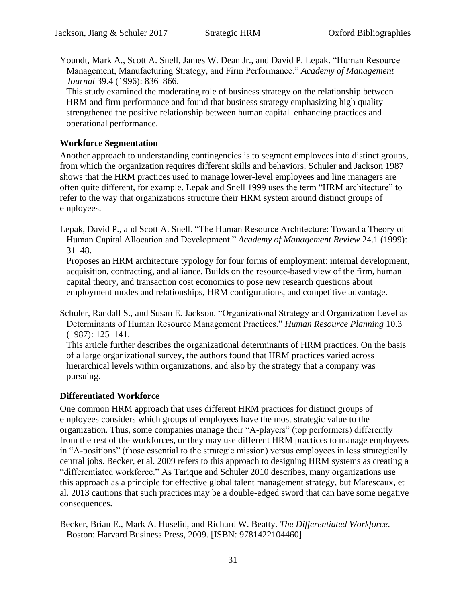Youndt, Mark A., Scott A. Snell, James W. Dean Jr., and David P. Lepak. "Human Resource Management, Manufacturing Strategy, and Firm Performance." *Academy of Management Journal* 39.4 (1996): 836–866.

This study examined the moderating role of business strategy on the relationship between HRM and firm performance and found that business strategy emphasizing high quality strengthened the positive relationship between human capital–enhancing practices and operational performance.

#### **Workforce Segmentation**

Another approach to understanding contingencies is to segment employees into distinct groups, from which the organization requires different skills and behaviors. Schuler and Jackson [1987](file:///C:/Users/fresea/AppData/Local/Microsoft/Windows/Temporary%20Internet%20Files/Content.Outlook/B5HZK4M5/Organizational%23Ref120) shows that the HRM practices used to manage lower-level employees and line managers are often quite different, for example. Lepak and Snell [1999](file:///C:/Users/fresea/AppData/Local/Microsoft/Windows/Temporary%20Internet%20Files/Content.Outlook/B5HZK4M5/The%23Ref119) uses the term "HRM architecture" to refer to the way that organizations structure their HRM system around distinct groups of employees.

Lepak, David P., and Scott A. Snell. "The Human Resource Architecture: Toward a Theory of Human Capital Allocation and Development." *Academy of Management Review* 24.1 (1999): 31–48.

Proposes an HRM architecture typology for four forms of employment: internal development, acquisition, contracting, and alliance. Builds on the resource-based view of the firm, human capital theory, and transaction cost economics to pose new research questions about employment modes and relationships, HRM configurations, and competitive advantage.

Schuler, Randall S., and Susan E. Jackson. "Organizational Strategy and Organization Level as Determinants of Human Resource Management Practices." *Human Resource Planning* 10.3 (1987): 125–141.

This article further describes the organizational determinants of HRM practices. On the basis of a large organizational survey, the authors found that HRM practices varied across hierarchical levels within organizations, and also by the strategy that a company was pursuing.

## **Differentiated Workforce**

One common HRM approach that uses different HRM practices for distinct groups of employees considers which groups of employees have the most strategic value to the organization. Thus, some companies manage their "A-players" (top performers) differently from the rest of the workforces, or they may use different HRM practices to manage employees in "A-positions" (those essential to the strategic mission) versus employees in less strategically central jobs. Becker, et al. [2009](#page-30-0) refers to this approach to designing HRM systems as creating a "differentiated workforce." As Tarique and Schuler [2010](file:///C:/Users/fresea/AppData/Local/Microsoft/Windows/Temporary%20Internet%20Files/Content.Outlook/B5HZK4M5/Global%23Ref123) describes, many organizations use this approach as a principle for effective global talent management strategy, but Marescaux, et al. [2013](file:///C:/Users/fresea/AppData/Local/Microsoft/Windows/Temporary%20Internet%20Files/Content.Outlook/B5HZK4M5/HR%23Ref122) cautions that such practices may be a double-edged sword that can have some negative consequences.

<span id="page-30-0"></span>Becker, Brian E., Mark A. Huselid, and Richard W. Beatty. *The Differentiated Workforce*. Boston: Harvard Business Press, 2009. [ISBN: 9781422104460]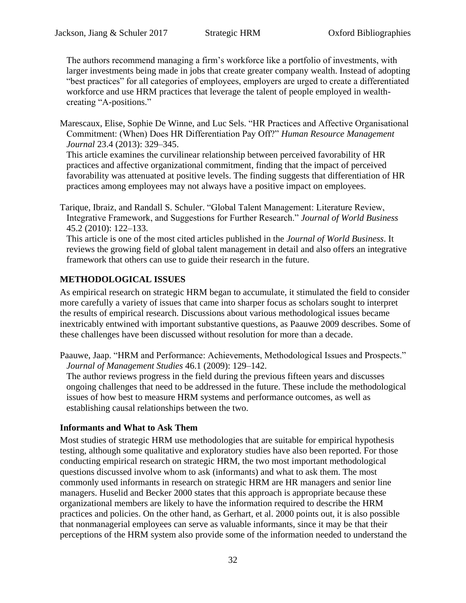The authors recommend managing a firm's workforce like a portfolio of investments, with larger investments being made in jobs that create greater company wealth. Instead of adopting "best practices" for all categories of employees, employers are urged to create a differentiated workforce and use HRM practices that leverage the talent of people employed in wealthcreating "A-positions."

Marescaux, Elise, Sophie De Winne, and Luc Sels. "HR Practices and Affective Organisational Commitment: (When) Does HR Differentiation Pay Off?" *Human Resource Management Journal* 23.4 (2013): 329–345.

This article examines the curvilinear relationship between perceived favorability of HR practices and affective organizational commitment, finding that the impact of perceived favorability was attenuated at positive levels. The finding suggests that differentiation of HR practices among employees may not always have a positive impact on employees.

Tarique, Ibraiz, and Randall S. Schuler. "Global Talent Management: Literature Review, Integrative Framework, and Suggestions for Further Research." *Journal of World Business* 45.2 (2010): 122–133.

This article is one of the most cited articles published in the *Journal of World Business*. It reviews the growing field of global talent management in detail and also offers an integrative framework that others can use to guide their research in the future.

## **METHODOLOGICAL ISSUES**

As empirical research on strategic HRM began to accumulate, it stimulated the field to consider more carefully a variety of issues that came into sharper focus as scholars sought to interpret the results of empirical research. Discussions about various methodological issues became inextricably entwined with important substantive questions, as Paauwe [2009](file:///C:/Users/fresea/AppData/Local/Microsoft/Windows/Temporary%20Internet%20Files/Content.Outlook/B5HZK4M5/HRM%23Ref124) describes. Some of these challenges have been discussed without resolution for more than a decade.

Paauwe, Jaap. "HRM and Performance: Achievements, Methodological Issues and Prospects." *Journal of Management Studies* 46.1 (2009): 129–142.

The author reviews progress in the field during the previous fifteen years and discusses ongoing challenges that need to be addressed in the future. These include the methodological issues of how best to measure HRM systems and performance outcomes, as well as establishing causal relationships between the two.

## **Informants and What to Ask Them**

Most studies of strategic HRM use methodologies that are suitable for empirical hypothesis testing, although some qualitative and exploratory studies have also been reported. For those conducting empirical research on strategic HRM, the two most important methodological questions discussed involve whom to ask (informants) and what to ask them. The most commonly used informants in research on strategic HRM are HR managers and senior line managers. Huselid and Becker [2000](file:///C:/Users/fresea/AppData/Local/Microsoft/Windows/Temporary%20Internet%20Files/Content.Outlook/B5HZK4M5/Comment%23Ref126) states that this approach is appropriate because these organizational members are likely to have the information required to describe the HRM practices and policies. On the other hand, as Gerhart, et al. [2000](file:///C:/Users/fresea/AppData/Local/Microsoft/Windows/Temporary%20Internet%20Files/Content.Outlook/B5HZK4M5/Measurement%23Ref125) points out, it is also possible that nonmanagerial employees can serve as valuable informants, since it may be that their perceptions of the HRM system also provide some of the information needed to understand the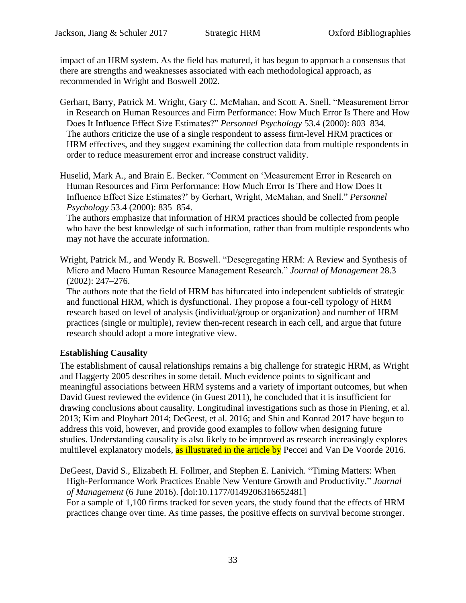impact of an HRM system. As the field has matured, it has begun to approach a consensus that there are strengths and weaknesses associated with each methodological approach, as recommended in Wright and Boswell [2002.](file:///C:/Users/fresea/AppData/Local/Microsoft/Windows/Temporary%20Internet%20Files/Content.Outlook/B5HZK4M5/Desegregating%23Ref127)

Gerhart, Barry, Patrick M. Wright, Gary C. McMahan, and Scott A. Snell. "Measurement Error in Research on Human Resources and Firm Performance: How Much Error Is There and How Does It Influence Effect Size Estimates?" *Personnel Psychology* 53.4 (2000): 803–834. The authors criticize the use of a single respondent to assess firm-level HRM practices or HRM effectives, and they suggest examining the collection data from multiple respondents in order to reduce measurement error and increase construct validity.

Huselid, Mark A., and Brain E. Becker. "Comment on 'Measurement Error in Research on Human Resources and Firm Performance: How Much Error Is There and How Does It Influence Effect Size Estimates?' by Gerhart, Wright, McMahan, and Snell." *Personnel Psychology* 53.4 (2000): 835–854.

The authors emphasize that information of HRM practices should be collected from people who have the best knowledge of such information, rather than from multiple respondents who may not have the accurate information.

Wright, Patrick M., and Wendy R. Boswell. "Desegregating HRM: A Review and Synthesis of Micro and Macro Human Resource Management Research." *Journal of Management* 28.3 (2002): 247–276.

The authors note that the field of HRM has bifurcated into independent subfields of strategic and functional HRM, which is dysfunctional. They propose a four-cell typology of HRM research based on level of analysis (individual/group or organization) and number of HRM practices (single or multiple), review then-recent research in each cell, and argue that future research should adopt a more integrative view.

## **Establishing Causality**

The establishment of causal relationships remains a big challenge for strategic HRM, as Wright and Haggerty [2005](file:///C:/Users/fresea/AppData/Local/Microsoft/Windows/Temporary%20Internet%20Files/Content.Outlook/B5HZK4M5/Missing%23Ref133) describes in some detail. Much evidence points to significant and meaningful associations between HRM systems and a variety of important outcomes, but when David Guest reviewed the evidence (in Guest [2011\)](file:///C:/Users/fresea/AppData/Local/Microsoft/Windows/Temporary%20Internet%20Files/Content.Outlook/B5HZK4M5/Human%23Ref129), he concluded that it is insufficient for drawing conclusions about causality. Longitudinal investigations such as those in Piening, et al. [2013;](#page-33-0) Kim and Ployhart [2014;](#page-33-1) DeGeest, et al. [2016;](#page-32-0) and Shin and Konrad [2017](#page-33-2) have begun to address this void, however, and provide good examples to follow when designing future studies. Understanding causality is also likely to be improved as research increasingly explores multilevel explanatory models, as illustrated in the article by Peccei and Van De Voorde 2016.

<span id="page-32-0"></span>DeGeest, David S., Elizabeth H. Follmer, and Stephen E. Lanivich. "Timing Matters: When High-Performance Work Practices Enable New Venture Growth and Productivity." *Journal of Management* (6 June 2016). [doi:10.1177/0149206316652481] For a sample of 1,100 firms tracked for seven years, the study found that the effects of HRM practices change over time. As time passes, the positive effects on survival become stronger.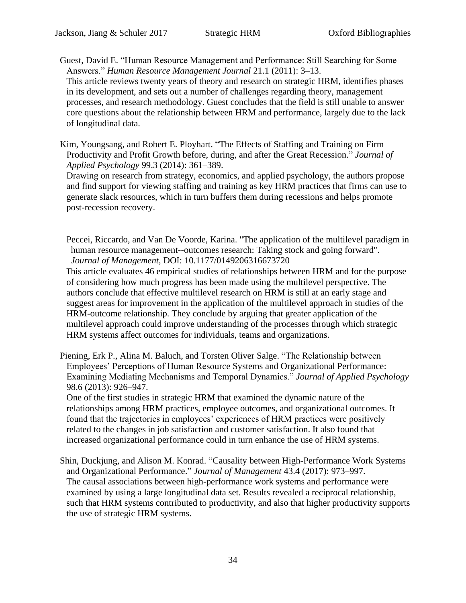Guest, David E. "Human Resource Management and Performance: Still Searching for Some Answers." *Human Resource Management Journal* 21.1 (2011): 3–13.

This article reviews twenty years of theory and research on strategic HRM, identifies phases in its development, and sets out a number of challenges regarding theory, management processes, and research methodology. Guest concludes that the field is still unable to answer core questions about the relationship between HRM and performance, largely due to the lack of longitudinal data.

<span id="page-33-1"></span>Kim, Youngsang, and Robert E. Ployhart. "The Effects of Staffing and Training on Firm Productivity and Profit Growth before, during, and after the Great Recession." *Journal of Applied Psychology* 99.3 (2014): 361–389.

Drawing on research from strategy, economics, and applied psychology, the authors propose and find support for viewing staffing and training as key HRM practices that firms can use to generate slack resources, which in turn buffers them during recessions and helps promote post-recession recovery.

Peccei, Riccardo, and Van De Voorde, Karina. "The application of the multilevel paradigm in human resource management--outcomes research: Taking stock and going forward". *Journal of Management,* DOI: 10.1177/0149206316673720

This article evaluates 46 empirical studies of relationships between HRM and for the purpose of considering how much progress has been made using the multilevel perspective. The authors conclude that effective multilevel research on HRM is still at an early stage and suggest areas for improvement in the application of the multilevel approach in studies of the HRM-outcome relationship. They conclude by arguing that greater application of the multilevel approach could improve understanding of the processes through which strategic HRM systems affect outcomes for individuals, teams and organizations.

<span id="page-33-0"></span>Piening, Erk P., Alina M. Baluch, and Torsten Oliver Salge. "The Relationship between Employees' Perceptions of Human Resource Systems and Organizational Performance: Examining Mediating Mechanisms and Temporal Dynamics." *Journal of Applied Psychology* 98.6 (2013): 926–947.

One of the first studies in strategic HRM that examined the dynamic nature of the relationships among HRM practices, employee outcomes, and organizational outcomes. It found that the trajectories in employees' experiences of HRM practices were positively related to the changes in job satisfaction and customer satisfaction. It also found that increased organizational performance could in turn enhance the use of HRM systems.

<span id="page-33-2"></span>Shin, Duckjung, and Alison M. Konrad. "Causality between High-Performance Work Systems and Organizational Performance." *Journal of Management* 43.4 (2017): 973–997. The causal associations between high-performance work systems and performance were examined by using a large longitudinal data set. Results revealed a reciprocal relationship, such that HRM systems contributed to productivity, and also that higher productivity supports the use of strategic HRM systems.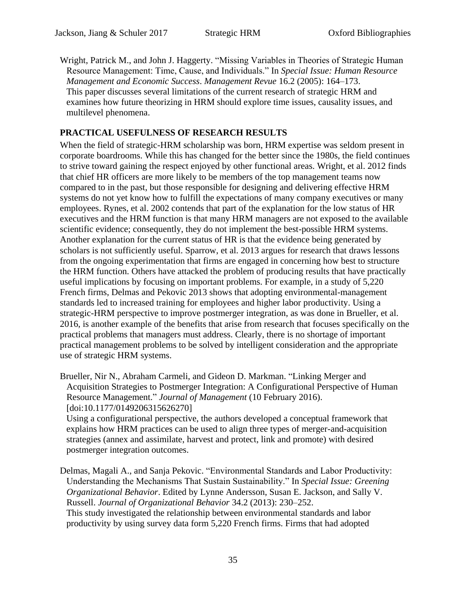Wright, Patrick M., and John J. Haggerty. "Missing Variables in Theories of Strategic Human Resource Management: Time, Cause, and Individuals." In *Special Issue: Human Resource Management and Economic Success*. *Management Revue* 16.2 (2005): 164–173. This paper discusses several limitations of the current research of strategic HRM and examines how future theorizing in HRM should explore time issues, causality issues, and multilevel phenomena.

#### **PRACTICAL USEFULNESS OF RESEARCH RESULTS**

When the field of strategic-HRM scholarship was born, HRM expertise was seldom present in corporate boardrooms. While this has changed for the better since the 1980s, the field continues to strive toward gaining the respect enjoyed by other functional areas. Wright, et al. [2012](#page-35-0) finds that chief HR officers are more likely to be members of the top management teams now compared to in the past, but those responsible for designing and delivering effective HRM systems do not yet know how to fulfill the expectations of many company executives or many employees. Rynes, et al. [2002](file:///C:/Users/fresea/AppData/Local/Microsoft/Windows/Temporary%20Internet%20Files/Content.Outlook/B5HZK4M5/HR%23Ref136) contends that part of the explanation for the low status of HR executives and the HRM function is that many HRM managers are not exposed to the available scientific evidence; consequently, they do not implement the best-possible HRM systems. Another explanation for the current status of HR is that the evidence being generated by scholars is not sufficiently useful. Sparrow, et al. [2013](file:///C:/Users/fresea/AppData/Local/Microsoft/Windows/Temporary%20Internet%20Files/Content.Outlook/B5HZK4M5/An%23Ref137) argues for research that draws lessons from the ongoing experimentation that firms are engaged in concerning how best to structure the HRM function. Others have attacked the problem of producing results that have practically useful implications by focusing on important problems. For example, in a study of 5,220 French firms, Delmas and Pekovic [2013](file:///C:/Users/fresea/AppData/Local/Microsoft/Windows/Temporary%20Internet%20Files/Content.Outlook/B5HZK4M5/Environmental%23Ref135) shows that adopting environmental-management standards led to increased training for employees and higher labor productivity. Using a strategic-HRM perspective to improve postmerger integration, as was done in Brueller, et al. [2016,](#page-34-0) is another example of the benefits that arise from research that focuses specifically on the practical problems that managers must address. Clearly, there is no shortage of important practical management problems to be solved by intelligent consideration and the appropriate use of strategic HRM systems.

<span id="page-34-0"></span>Brueller, Nir N., Abraham Carmeli, and Gideon D. Markman. "Linking Merger and Acquisition Strategies to Postmerger Integration: A Configurational Perspective of Human Resource Management." *Journal of Management* (10 February 2016). [doi:10.1177/0149206315626270]

Using a configurational perspective, the authors developed a conceptual framework that explains how HRM practices can be used to align three types of merger-and-acquisition strategies (annex and assimilate, harvest and protect, link and promote) with desired postmerger integration outcomes.

Delmas, Magali A., and Sanja Pekovic. "Environmental Standards and Labor Productivity: Understanding the Mechanisms That Sustain Sustainability." In *Special Issue: Greening Organizational Behavior*. Edited by Lynne Andersson, Susan E. Jackson, and Sally V. Russell. *Journal of Organizational Behavior* 34.2 (2013): 230–252. This study investigated the relationship between environmental standards and labor productivity by using survey data form 5,220 French firms. Firms that had adopted